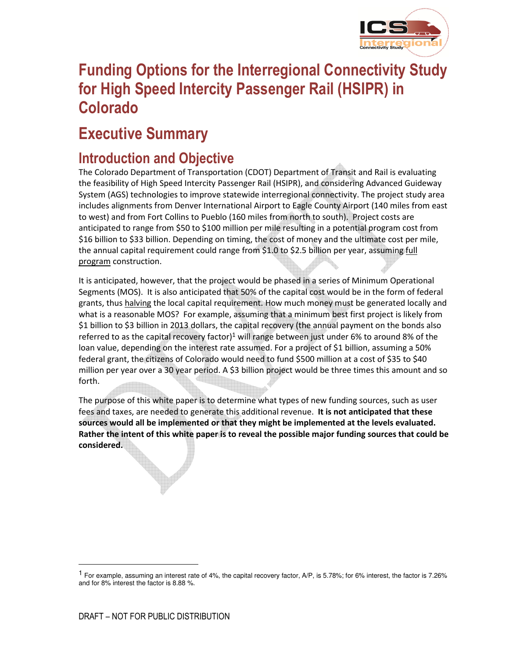

# **Funding Options for the Interregional Connectivity Study for High Speed Intercity Passenger Rail (HSIPR) in Colorado**

# **Executive Summary**

# **Introduction and Objective**

The Colorado Department of Transportation (CDOT) Department of Transit and Rail is evaluating the feasibility of High Speed Intercity Passenger Rail (HSIPR), and considering Advanced Guideway System (AGS) technologies to improve statewide interregional connectivity. The project study area includes alignments from Denver International Airport to Eagle County Airport (140 miles from east to west) and from Fort Collins to Pueblo (160 miles from north to south). Project costs are anticipated to range from \$50 to \$100 million per mile resulting in a potential program cost from \$16 billion to \$33 billion. Depending on timing, the cost of money and the ultimate cost per mile, the annual capital requirement could range from \$1.0 to \$2.5 billion per year, assuming full program construction.

It is anticipated, however, that the project would be phased in a series of Minimum Operational Segments (MOS). It is also anticipated that 50% of the capital cost would be in the form of federal grants, thus halving the local capital requirement. How much money must be generated locally and what is a reasonable MOS? For example, assuming that a minimum best first project is likely from \$1 billion to \$3 billion in 2013 dollars, the capital recovery (the annual payment on the bonds also referred to as the capital recovery factor)<sup>1</sup> will range between just under 6% to around 8% of the loan value, depending on the interest rate assumed. For a project of \$1 billion, assuming a 50% federal grant, the citizens of Colorado would need to fund \$500 million at a cost of \$35 to \$40 million per year over a 30 year period. A \$3 billion project would be three times this amount and so forth.

The purpose of this white paper is to determine what types of new funding sources, such as user fees and taxes, are needed to generate this additional revenue. **It is not anticipated that these sources would all be implemented or that they might be implemented at the levels evaluated. Rather the intent of this white paper is to reveal the possible major funding sources that could be considered.**

l

<sup>1</sup> For example, assuming an interest rate of 4%, the capital recovery factor, A/P, is 5.78%; for 6% interest, the factor is 7.26% and for 8% interest the factor is 8.88 %.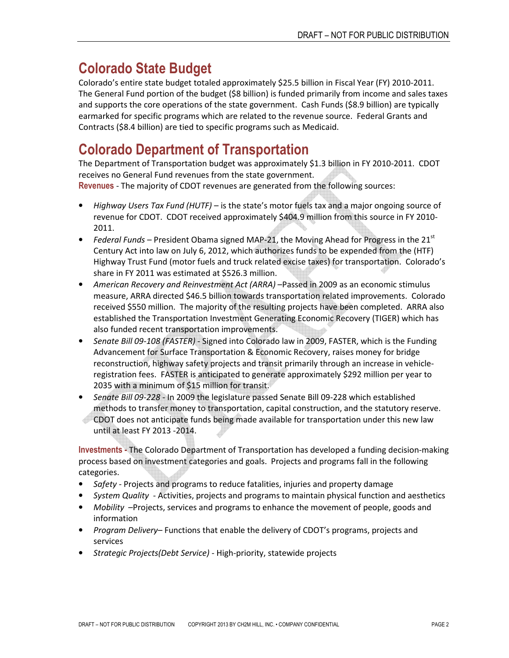# **Colorado State Budget**

Colorado's entire state budget totaled approximately \$25.5 billion in Fiscal Year (FY) 2010-2011. The General Fund portion of the budget (\$8 billion) is funded primarily from income and sales taxes and supports the core operations of the state government. Cash Funds (\$8.9 billion) are typically earmarked for specific programs which are related to the revenue source. Federal Grants and Contracts (\$8.4 billion) are tied to specific programs such as Medicaid.

# **Colorado Department of Transportation**

The Department of Transportation budget was approximately \$1.3 billion in FY 2010-2011. CDOT receives no General Fund revenues from the state government.

**Revenues** - The majority of CDOT revenues are generated from the following sources:

- *Highway Users Tax Fund (HUTF)* is the state's motor fuels tax and a major ongoing source of revenue for CDOT. CDOT received approximately \$404.9 million from this source in FY 2010- 2011.
- *Federal Funds* President Obama signed MAP-21, the Moving Ahead for Progress in the 21st Century Act into law on July 6, 2012, which authorizes funds to be expended from the (HTF) Highway Trust Fund (motor fuels and truck related excise taxes) for transportation. Colorado's share in FY 2011 was estimated at \$526.3 million.
- *American Recovery and Reinvestment Act (ARRA)* –Passed in 2009 as an economic stimulus measure, ARRA directed \$46.5 billion towards transportation related improvements. Colorado received \$550 million. The majority of the resulting projects have been completed. ARRA also established the Transportation Investment Generating Economic Recovery (TIGER) which has also funded recent transportation improvements.
- *Senate Bill 09-108 (FASTER)* Signed into Colorado law in 2009, FASTER, which is the Funding Advancement for Surface Transportation & Economic Recovery, raises money for bridge reconstruction, highway safety projects and transit primarily through an increase in vehicleregistration fees. FASTER is anticipated to generate approximately \$292 million per year to 2035 with a minimum of \$15 million for transit.
- *Senate Bill 09-228* In 2009 the legislature passed Senate Bill 09-228 which established methods to transfer money to transportation, capital construction, and the statutory reserve. CDOT does not anticipate funds being made available for transportation under this new law until at least FY 2013 -2014.

**Investments -** The Colorado Department of Transportation has developed a funding decision-making process based on investment categories and goals. Projects and programs fall in the following categories.

- *Safety* Projects and programs to reduce fatalities, injuries and property damage
- *System Quality* Activities, projects and programs to maintain physical function and aesthetics
- *Mobility* –Projects, services and programs to enhance the movement of people, goods and information
- *Program Delivery* Functions that enable the delivery of CDOT's programs, projects and services
- *Strategic Projects(Debt Service)* High-priority, statewide projects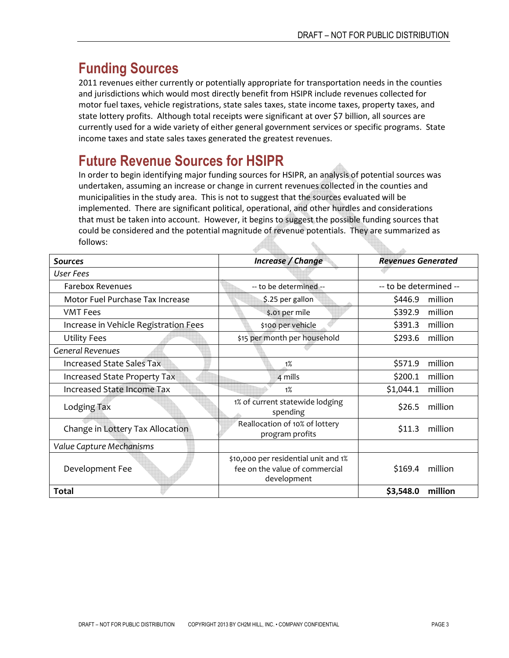# **Funding Sources**

2011 revenues either currently or potentially appropriate for transportation needs in the counties and jurisdictions which would most directly benefit from HSIPR include revenues collected for motor fuel taxes, vehicle registrations, state sales taxes, state income taxes, property taxes, and state lottery profits. Although total receipts were significant at over \$7 billion, all sources are currently used for a wide variety of either general government services or specific programs. State income taxes and state sales taxes generated the greatest revenues.

# **Future Revenue Sources for HSIPR**

In order to begin identifying major funding sources for HSIPR, an analysis of potential sources was undertaken, assuming an increase or change in current revenues collected in the counties and municipalities in the study area. This is not to suggest that the sources evaluated will be implemented. There are significant political, operational, and other hurdles and considerations that must be taken into account. However, it begins to suggest the possible funding sources that could be considered and the potential magnitude of revenue potentials. They are summarized as follows: <u>Allian</u> 111.

| Sources                               | <b>Increase / Change</b>                                                              | <b>Revenues Generated</b> |
|---------------------------------------|---------------------------------------------------------------------------------------|---------------------------|
| User Fees                             |                                                                                       |                           |
| <b>Farebox Revenues</b>               | -- to be determined --                                                                | -- to be determined --    |
| Motor Fuel Purchase Tax Increase      | \$.25 per gallon                                                                      | \$446.9<br>million        |
| <b>VMT Fees</b>                       | \$.01 per mile                                                                        | \$392.9<br>million        |
| Increase in Vehicle Registration Fees | \$100 per vehicle                                                                     | \$391.3<br>million        |
| <b>Utility Fees</b>                   | \$15 per month per household                                                          | \$293.6<br>million        |
| <b>General Revenues</b>               |                                                                                       |                           |
| <b>Increased State Sales Tax</b>      | 1%                                                                                    | million<br>\$571.9        |
| Increased State Property Tax          | 4 mills                                                                               | \$200.1<br>million        |
| <b>Increased State Income Tax</b>     | 1%                                                                                    | \$1,044.1<br>million      |
| Lodging Tax                           | 1% of current statewide lodging<br>spending                                           | \$26.5<br>million         |
| Change in Lottery Tax Allocation      | Reallocation of 10% of lottery<br>program profits                                     | \$11.3<br>million         |
| Value Capture Mechanisms              |                                                                                       |                           |
| Development Fee                       | \$10,000 per residential unit and 1%<br>fee on the value of commercial<br>development | million<br>\$169.4        |
| <b>Total</b>                          |                                                                                       | million<br>\$3,548.0      |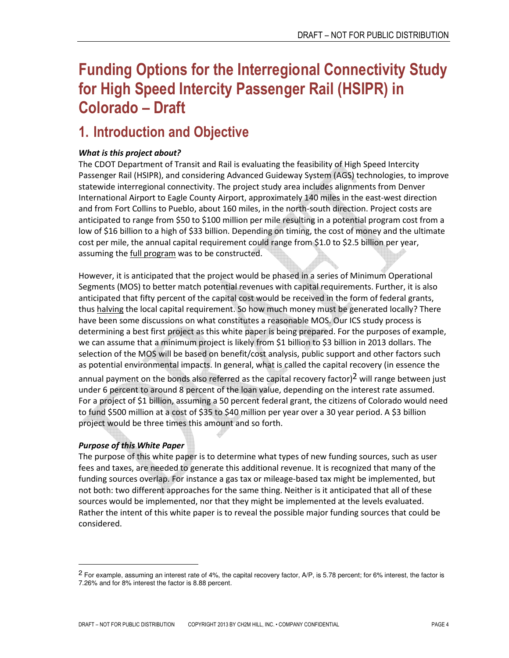# **Funding Options for the Interregional Connectivity Study for High Speed Intercity Passenger Rail (HSIPR) in Colorado – Draft**

# **1. Introduction and Objective**

#### *What is this project about?*

The CDOT Department of Transit and Rail is evaluating the feasibility of High Speed Intercity Passenger Rail (HSIPR), and considering Advanced Guideway System (AGS) technologies, to improve statewide interregional connectivity. The project study area includes alignments from Denver International Airport to Eagle County Airport, approximately 140 miles in the east-west direction and from Fort Collins to Pueblo, about 160 miles, in the north-south direction. Project costs are anticipated to range from \$50 to \$100 million per mile resulting in a potential program cost from a low of \$16 billion to a high of \$33 billion. Depending on timing, the cost of money and the ultimate cost per mile, the annual capital requirement could range from \$1.0 to \$2.5 billion per year, assuming the full program was to be constructed.

However, it is anticipated that the project would be phased in a series of Minimum Operational Segments (MOS) to better match potential revenues with capital requirements. Further, it is also anticipated that fifty percent of the capital cost would be received in the form of federal grants, thus halving the local capital requirement. So how much money must be generated locally? There have been some discussions on what constitutes a reasonable MOS. Our ICS study process is determining a best first project as this white paper is being prepared. For the purposes of example, we can assume that a minimum project is likely from \$1 billion to \$3 billion in 2013 dollars. The selection of the MOS will be based on benefit/cost analysis, public support and other factors such as potential environmental impacts. In general, what is called the capital recovery (in essence the annual payment on the bonds also referred as the capital recovery factor)<sup>2</sup> will range between just under 6 percent to around 8 percent of the loan value, depending on the interest rate assumed. For a project of \$1 billion, assuming a 50 percent federal grant, the citizens of Colorado would need to fund \$500 million at a cost of \$35 to \$40 million per year over a 30 year period. A \$3 billion project would be three times this amount and so forth.

#### *Purpose of this White Paper*

 $\overline{a}$ 

The purpose of this white paper is to determine what types of new funding sources, such as user fees and taxes, are needed to generate this additional revenue. It is recognized that many of the funding sources overlap. For instance a gas tax or mileage-based tax might be implemented, but not both: two different approaches for the same thing. Neither is it anticipated that all of these sources would be implemented, nor that they might be implemented at the levels evaluated. Rather the intent of this white paper is to reveal the possible major funding sources that could be considered.

<sup>2</sup> For example, assuming an interest rate of 4%, the capital recovery factor, A/P, is 5.78 percent; for 6% interest, the factor is 7.26% and for 8% interest the factor is 8.88 percent.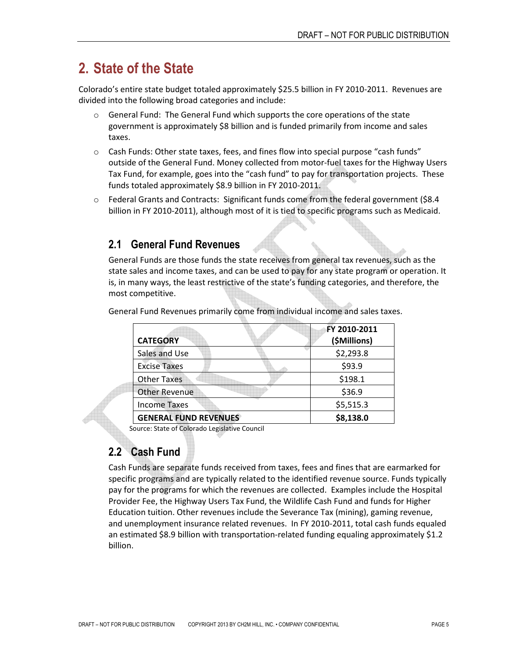# **2. State of the State**

Colorado's entire state budget totaled approximately \$25.5 billion in FY 2010-2011. Revenues are divided into the following broad categories and include:

- o General Fund: The General Fund which supports the core operations of the state government is approximately \$8 billion and is funded primarily from income and sales taxes.
- o Cash Funds: Other state taxes, fees, and fines flow into special purpose "cash funds" outside of the General Fund. Money collected from motor-fuel taxes for the Highway Users Tax Fund, for example, goes into the "cash fund" to pay for transportation projects. These funds totaled approximately \$8.9 billion in FY 2010-2011.
- o Federal Grants and Contracts: Significant funds come from the federal government (\$8.4 billion in FY 2010-2011), although most of it is tied to specific programs such as Medicaid.

# **2.1 General Fund Revenues**

General Funds are those funds the state receives from general tax revenues, such as the state sales and income taxes, and can be used to pay for any state program or operation. It is, in many ways, the least restrictive of the state's funding categories, and therefore, the most competitive.

|                              | FY 2010-2011 |
|------------------------------|--------------|
| <b>CATEGORY</b>              | (\$Millions) |
| Sales and Use                | \$2,293.8    |
| <b>Excise Taxes</b>          | \$93.9       |
| <b>Other Taxes</b>           | \$198.1      |
| <b>Other Revenue</b>         | \$36.9       |
| <b>Income Taxes</b>          | \$5,515.3    |
| <b>GENERAL FUND REVENUES</b> | \$8,138.0    |

General Fund Revenues primarily come from individual income and sales taxes.

Source: State of Colorado Legislative Council

# **2.2 Cash Fund**

Cash Funds are separate funds received from taxes, fees and fines that are earmarked for specific programs and are typically related to the identified revenue source. Funds typically pay for the programs for which the revenues are collected. Examples include the Hospital Provider Fee, the Highway Users Tax Fund, the Wildlife Cash Fund and funds for Higher Education tuition. Other revenues include the Severance Tax (mining), gaming revenue, and unemployment insurance related revenues. In FY 2010-2011, total cash funds equaled an estimated \$8.9 billion with transportation-related funding equaling approximately \$1.2 billion.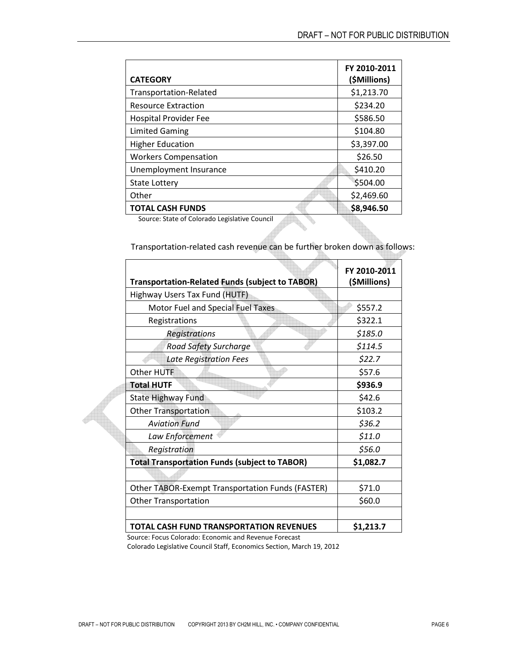| <b>CATEGORY</b>             | FY 2010-2011<br>(\$Millions) |
|-----------------------------|------------------------------|
| Transportation-Related      | \$1,213.70                   |
| <b>Resource Extraction</b>  | \$234.20                     |
| Hospital Provider Fee       | \$586.50                     |
| <b>Limited Gaming</b>       | \$104.80                     |
| <b>Higher Education</b>     | \$3,397.00                   |
| <b>Workers Compensation</b> | \$26.50                      |
| Unemployment Insurance      | \$410.20                     |
| <b>State Lottery</b>        | \$504.00                     |
| Other                       | \$2,469.60                   |
| <b>TOTAL CASH FUNDS</b>     | \$8,946.50                   |

Source: State of Colorado Legislative Council

Transportation-related cash revenue can be further broken down as follows:

| <b>Transportation-Related Funds (subject to TABOR)</b> | FY 2010-2011<br>(\$Millions) |
|--------------------------------------------------------|------------------------------|
| Highway Users Tax Fund (HUTF)                          |                              |
| Motor Fuel and Special Fuel Taxes                      | \$557.2                      |
| Registrations                                          | \$322.1                      |
| <b>Registrations</b>                                   | \$185.0                      |
| <b>Road Safety Surcharge</b>                           | \$114.5                      |
| <b>Late Registration Fees</b>                          | \$22.7                       |
| Other HUTF                                             | \$57.6                       |
| <b>Total HUTF</b>                                      | \$936.9                      |
| <b>State Highway Fund</b>                              | \$42.6                       |
| <b>Other Transportation</b>                            | \$103.2                      |
| <b>Aviation Fund</b>                                   | \$36.2                       |
| Law Enforcement                                        | \$11.0                       |
| Registration                                           | \$56.0                       |
| <b>Total Transportation Funds (subject to TABOR)</b>   | \$1,082.7                    |
|                                                        |                              |
| Other TABOR-Exempt Transportation Funds (FASTER)       | \$71.0                       |
| <b>Other Transportation</b>                            | \$60.0                       |
|                                                        |                              |
| TOTAL CASH FUND TRANSPORTATION REVENUES                | \$1,213.7                    |

Source: Focus Colorado: Economic and Revenue Forecast

Colorado Legislative Council Staff, Economics Section, March 19, 2012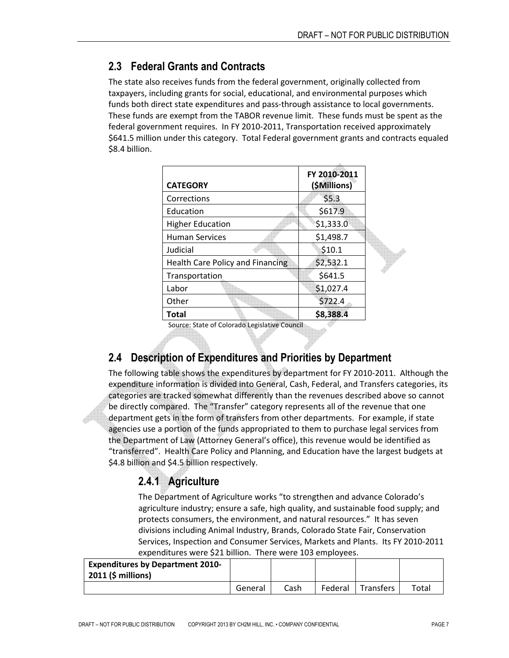## **2.3 Federal Grants and Contracts**

The state also receives funds from the federal government, originally collected from taxpayers, including grants for social, educational, and environmental purposes which funds both direct state expenditures and pass-through assistance to local governments. These funds are exempt from the TABOR revenue limit. These funds must be spent as the federal government requires. In FY 2010-2011, Transportation received approximately \$641.5 million under this category. Total Federal government grants and contracts equaled \$8.4 billion.

| <b>CATEGORY</b>                         | FY 2010-2011<br>(\$Millions) |  |
|-----------------------------------------|------------------------------|--|
| Corrections                             | \$5.3                        |  |
| Education                               | \$617.9                      |  |
| <b>Higher Education</b>                 | \$1,333.0                    |  |
| <b>Human Services</b>                   | \$1,498.7                    |  |
| Judicial                                | \$10.1                       |  |
| <b>Health Care Policy and Financing</b> | \$2,532.1                    |  |
| Transportation                          | \$641.5                      |  |
| Labor                                   | \$1,027.4                    |  |
| Other                                   | \$722.4                      |  |
| Total                                   | \$8,388.4                    |  |

Source: State of Colorado Legislative Council

# **2.4 Description of Expenditures and Priorities by Department**

The following table shows the expenditures by department for FY 2010-2011. Although the expenditure information is divided into General, Cash, Federal, and Transfers categories, its categories are tracked somewhat differently than the revenues described above so cannot be directly compared. The "Transfer" category represents all of the revenue that one department gets in the form of transfers from other departments. For example, if state agencies use a portion of the funds appropriated to them to purchase legal services from the Department of Law (Attorney General's office), this revenue would be identified as "transferred". Health Care Policy and Planning, and Education have the largest budgets at \$4.8 billion and \$4.5 billion respectively.

# **2.4.1 Agriculture**

The Department of Agriculture works "to strengthen and advance Colorado's agriculture industry; ensure a safe, high quality, and sustainable food supply; and protects consumers, the environment, and natural resources." It has seven divisions including Animal Industry, Brands, Colorado State Fair, Conservation Services, Inspection and Consumer Services, Markets and Plants. Its FY 2010-2011 expenditures were \$21 billion. There were 103 employees.

| <b>Expenditures by Department 2010-</b><br>$\vert$ 2011 (\$ millions) |         |      |         |             |       |
|-----------------------------------------------------------------------|---------|------|---------|-------------|-------|
|                                                                       | General | Cash | Federal | l Transfers | Total |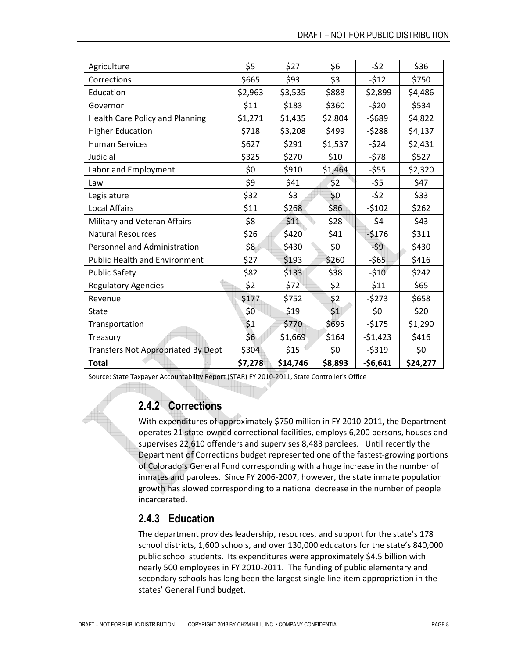| Agriculture                            | \$5     | \$27     | \$6     | $-52$     | \$36     |
|----------------------------------------|---------|----------|---------|-----------|----------|
| Corrections                            | \$665   | \$93     | \$3     | $-512$    | \$750    |
| Education                              | \$2,963 | \$3,535  | \$888   | $-52,899$ | \$4,486  |
| Governor                               | \$11    | \$183    | \$360   | $-520$    | \$534    |
| <b>Health Care Policy and Planning</b> | \$1,271 | \$1,435  | \$2,804 | $-5689$   | \$4,822  |
| <b>Higher Education</b>                | \$718   | \$3,208  | \$499   | $-5288$   | \$4,137  |
| <b>Human Services</b>                  | \$627   | \$291    | \$1,537 | $-524$    | \$2,431  |
| Judicial                               | \$325   | \$270    | \$10    | $-578$    | \$527    |
| Labor and Employment                   | \$0     | \$910    | \$1,464 | $-555$    | \$2,320  |
| Law                                    | \$9     | \$41     | \$2     | -\$5      | \$47     |
| Legislature                            | \$32    | \$3      | \$0     | $-52$     | \$33     |
| <b>Local Affairs</b>                   | \$11    | \$268    | \$86    | $-5102$   | \$262    |
| Military and Veteran Affairs           | \$8     | \$11     | \$28    | $-54$     | \$43     |
| <b>Natural Resources</b>               | \$26    | \$420    | \$41    | $-5176$   | \$311    |
| <b>Personnel and Administration</b>    | \$8     | \$430    | \$0     | $-59$     | \$430    |
| <b>Public Health and Environment</b>   | \$27    | \$193    | \$260   | $-565$    | \$416    |
| <b>Public Safety</b>                   | \$82    | \$133    | \$38    | $-510$    | \$242    |
| <b>Regulatory Agencies</b>             | \$2     | \$72     | \$2     | $-511$    | \$65     |
| Revenue                                | \$177   | \$752    | \$2     | $-5273$   | \$658    |
| <b>State</b>                           | \$0     | \$19     | \$1     | \$0       | \$20     |
| Transportation                         | \$1     | \$770    | \$695   | $-5175$   | \$1,290  |
| Treasury                               | \$6     | \$1,669  | \$164   | $-51,423$ | \$416    |
| Transfers Not Appropriated By Dept     | \$304   | \$15     | \$0     | $-5319$   | \$0      |
| <b>Total</b>                           | \$7,278 | \$14,746 | \$8,893 | $-$6,641$ | \$24,277 |

Source: State Taxpayer Accountability Report (STAR) FY 2010-2011, State Controller's Office

## **2.4.2 Corrections**

With expenditures of approximately \$750 million in FY 2010-2011, the Department operates 21 state-owned correctional facilities, employs 6,200 persons, houses and supervises 22,610 offenders and supervises 8,483 parolees. Until recently the Department of Corrections budget represented one of the fastest-growing portions of Colorado's General Fund corresponding with a huge increase in the number of inmates and parolees. Since FY 2006-2007, however, the state inmate population growth has slowed corresponding to a national decrease in the number of people incarcerated.

#### **2.4.3 Education**

The department provides leadership, resources, and support for the state's 178 school districts, 1,600 schools, and over 130,000 educators for the state's 840,000 public school students. Its expenditures were approximately \$4.5 billion with nearly 500 employees in FY 2010-2011. The funding of public elementary and secondary schools has long been the largest single line-item appropriation in the states' General Fund budget.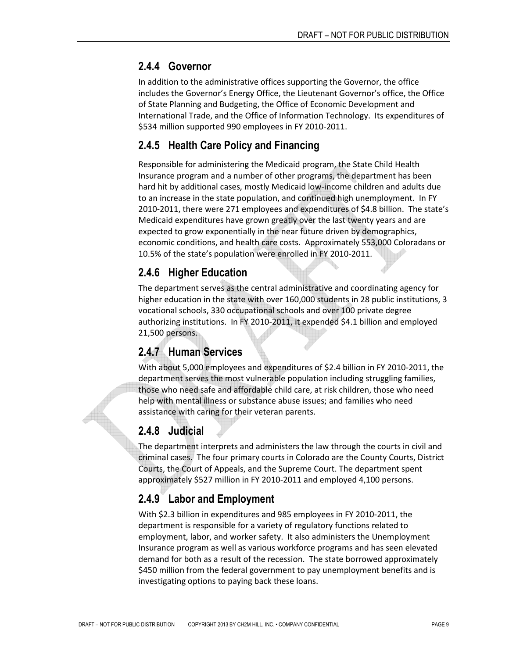#### **2.4.4 Governor**

In addition to the administrative offices supporting the Governor, the office includes the Governor's Energy Office, the Lieutenant Governor's office, the Office of State Planning and Budgeting, the Office of Economic Development and International Trade, and the Office of Information Technology. Its expenditures of \$534 million supported 990 employees in FY 2010-2011.

### **2.4.5 Health Care Policy and Financing**

Responsible for administering the Medicaid program, the State Child Health Insurance program and a number of other programs, the department has been hard hit by additional cases, mostly Medicaid low-income children and adults due to an increase in the state population, and continued high unemployment. In FY 2010-2011, there were 271 employees and expenditures of \$4.8 billion.The state's Medicaid expenditures have grown greatly over the last twenty years and are expected to grow exponentially in the near future driven by demographics, economic conditions, and health care costs. Approximately 553,000 Coloradans or 10.5% of the state's population were enrolled in FY 2010-2011.

### **2.4.6 Higher Education**

The department serves as the central administrative and coordinating agency for higher education in the state with over 160,000 students in 28 public institutions, 3 vocational schools, 330 occupational schools and over 100 private degree authorizing institutions. In FY 2010-2011, it expended \$4.1 billion and employed 21,500 persons.

### **2.4.7 Human Services**

With about 5,000 employees and expenditures of \$2.4 billion in FY 2010-2011, the department serves the most vulnerable population including struggling families, those who need safe and affordable child care, at risk children, those who need help with mental illness or substance abuse issues; and families who need assistance with caring for their veteran parents.

### **2.4.8 Judicial**

The department interprets and administers the law through the courts in civil and criminal cases. The four primary courts in Colorado are the County Courts, District Courts, the Court of Appeals, and the Supreme Court. The department spent approximately \$527 million in FY 2010-2011 and employed 4,100 persons.

## **2.4.9 Labor and Employment**

With \$2.3 billion in expenditures and 985 employees in FY 2010-2011, the department is responsible for a variety of regulatory functions related to employment, labor, and worker safety. It also administers the Unemployment Insurance program as well as various workforce programs and has seen elevated demand for both as a result of the recession. The state borrowed approximately \$450 million from the federal government to pay unemployment benefits and is investigating options to paying back these loans.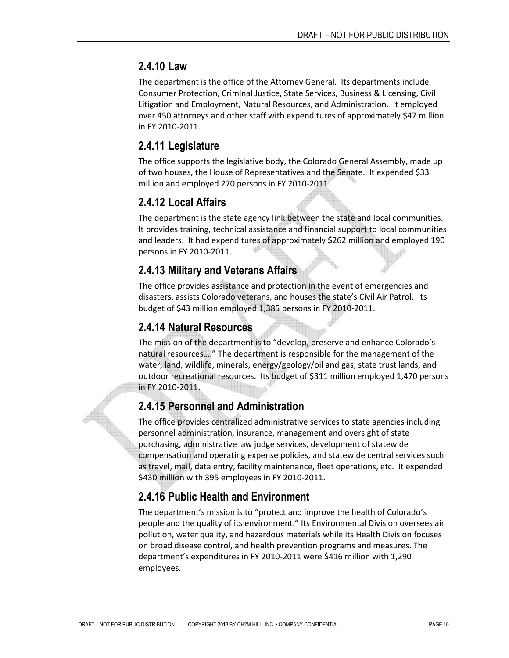#### **2.4.10 Law**

The department is the office of the Attorney General. Its departments include Consumer Protection, Criminal Justice, State Services, Business & Licensing, Civil Litigation and Employment, Natural Resources, and Administration. It employed over 450 attorneys and other staff with expenditures of approximately \$47 million in FY 2010-2011.

## **2.4.11 Legislature**

The office supports the legislative body, the Colorado General Assembly, made up of two houses, the House of Representatives and the Senate. It expended \$33 million and employed 270 persons in FY 2010-2011.

# **2.4.12 Local Affairs**

The department is the state agency link between the state and local communities. It provides training, technical assistance and financial support to local communities and leaders. It had expenditures of approximately \$262 million and employed 190 persons in FY 2010-2011.

# **2.4.13 Military and Veterans Affairs**

The office provides assistance and protection in the event of emergencies and disasters, assists Colorado veterans, and houses the state's Civil Air Patrol. Its budget of \$43 million employed 1,385 persons in FY 2010-2011.

# **2.4.14 Natural Resources**

The mission of the department is to "develop, preserve and enhance Colorado's natural resources…." The department is responsible for the management of the water, land, wildlife, minerals, energy/geology/oil and gas, state trust lands, and outdoor recreational resources. Its budget of \$311 million employed 1,470 persons in FY 2010-2011.

# **2.4.15 Personnel and Administration**

The office provides centralized administrative services to state agencies including personnel administration, insurance, management and oversight of state purchasing, administrative law judge services, development of statewide compensation and operating expense policies, and statewide central services such as travel, mail, data entry, facility maintenance, fleet operations, etc. It expended \$430 million with 395 employees in FY 2010-2011.

# **2.4.16 Public Health and Environment**

The department's mission is to "protect and improve the health of Colorado's people and the quality of its environment." Its Environmental Division oversees air pollution, water quality, and hazardous materials while its Health Division focuses on broad disease control, and health prevention programs and measures. The department's expenditures in FY 2010-2011 were \$416 million with 1,290 employees.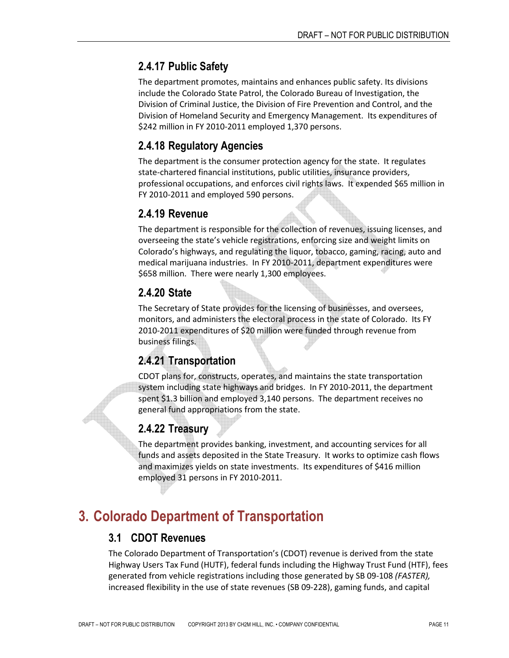# **2.4.17 Public Safety**

The department promotes, maintains and enhances public safety. Its divisions include the Colorado State Patrol, the Colorado Bureau of Investigation, the Division of Criminal Justice, the Division of Fire Prevention and Control, and the Division of Homeland Security and Emergency Management. Its expenditures of \$242 million in FY 2010-2011 employed 1,370 persons.

# **2.4.18 Regulatory Agencies**

The department is the consumer protection agency for the state. It regulates state-chartered financial institutions, public utilities, insurance providers, professional occupations, and enforces civil rights laws. It expended \$65 million in FY 2010-2011 and employed 590 persons.

## **2.4.19 Revenue**

The department is responsible for the collection of revenues, issuing licenses, and overseeing the state's vehicle registrations, enforcing size and weight limits on Colorado's highways, and regulating the liquor, tobacco, gaming, racing, auto and medical marijuana industries. In FY 2010-2011, department expenditures were \$658 million. There were nearly 1,300 employees.

# **2.4.20 State**

The Secretary of State provides for the licensing of businesses, and oversees, monitors, and administers the electoral process in the state of Colorado. Its FY 2010-2011 expenditures of \$20 million were funded through revenue from business filings.

# **2.4.21 Transportation**

CDOT plans for, constructs, operates, and maintains the state transportation system including state highways and bridges. In FY 2010-2011, the department spent \$1.3 billion and employed 3,140 persons. The department receives no general fund appropriations from the state.

# **2.4.22 Treasury**

The department provides banking, investment, and accounting services for all funds and assets deposited in the State Treasury. It works to optimize cash flows and maximizes yields on state investments. Its expenditures of \$416 million employed 31 persons in FY 2010-2011.

# **3. Colorado Department of Transportation**

### **3.1 CDOT Revenues**

The Colorado Department of Transportation's (CDOT) revenue is derived from the state Highway Users Tax Fund (HUTF), federal funds including the Highway Trust Fund (HTF), fees generated from vehicle registrations including those generated by SB 09-108 *(FASTER),*  increased flexibility in the use of state revenues (SB 09-228), gaming funds, and capital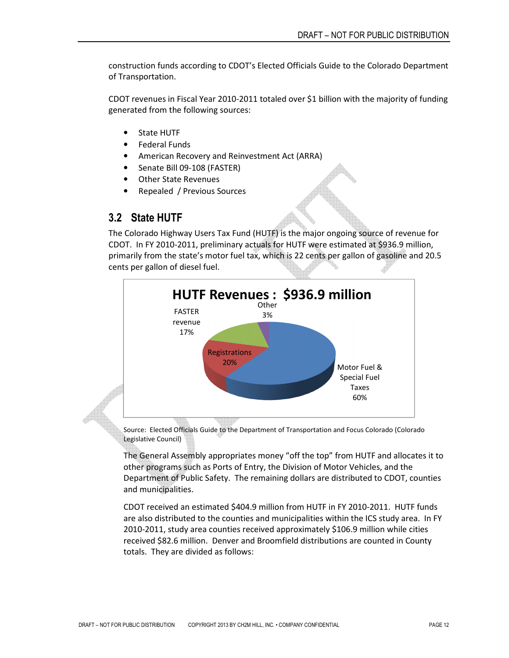construction funds according to CDOT's Elected Officials Guide to the Colorado Department of Transportation.

CDOT revenues in Fiscal Year 2010-2011 totaled over \$1 billion with the majority of funding generated from the following sources:

- **State HUTF**
- Federal Funds
- American Recovery and Reinvestment Act (ARRA)
- Senate Bill 09-108 (FASTER)
- Other State Revenues
- Repealed / Previous Sources

#### **3.2 State HUTF**

The Colorado Highway Users Tax Fund (HUTF) is the major ongoing source of revenue for CDOT. In FY 2010-2011, preliminary actuals for HUTF were estimated at \$936.9 million, primarily from the state's motor fuel tax, which is 22 cents per gallon of gasoline and 20.5 cents per gallon of diesel fuel.



Source: Elected Officials Guide to the Department of Transportation and Focus Colorado (Colorado Legislative Council)

The General Assembly appropriates money "off the top" from HUTF and allocates it to other programs such as Ports of Entry, the Division of Motor Vehicles, and the Department of Public Safety. The remaining dollars are distributed to CDOT, counties and municipalities.

CDOT received an estimated \$404.9 million from HUTF in FY 2010-2011. HUTF funds are also distributed to the counties and municipalities within the ICS study area. In FY 2010-2011, study area counties received approximately \$106.9 million while cities received \$82.6 million. Denver and Broomfield distributions are counted in County totals. They are divided as follows: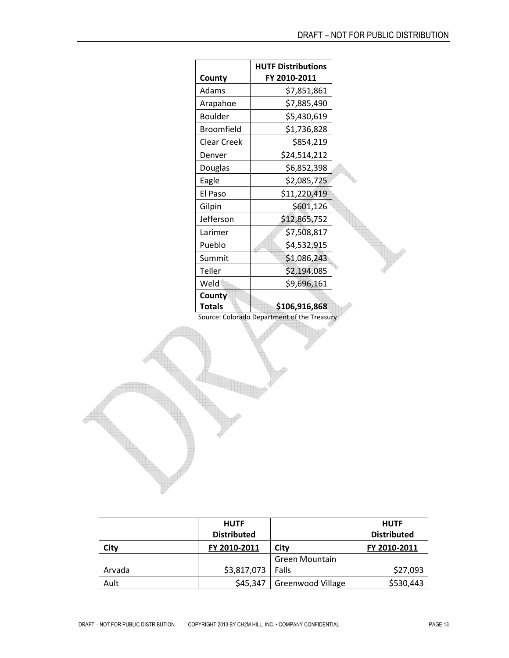|                    | <b>HUTF Distributions</b> |  |  |
|--------------------|---------------------------|--|--|
| County             | FY 2010-2011              |  |  |
| Adams              | \$7,851,861               |  |  |
| Arapahoe           | \$7,885,490               |  |  |
| <b>Boulder</b>     | \$5,430,619               |  |  |
| <b>Broomfield</b>  | \$1,736,828               |  |  |
| <b>Clear Creek</b> | \$854,219                 |  |  |
| Denver             | \$24,514,212              |  |  |
| Douglas            | \$6,852,398               |  |  |
| Eagle              | \$2,085,725               |  |  |
| El Paso            | \$11,220,419              |  |  |
| Gilpin             | \$601,126                 |  |  |
| Jefferson          | \$12,865,752              |  |  |
| Larimer            | \$7,508,817               |  |  |
| Pueblo             | \$4,532,915               |  |  |
| Summit             | \$1,086,243               |  |  |
| Teller             | \$2,194,085               |  |  |
| Weld               | \$9,696,161               |  |  |
| County             |                           |  |  |
| <b>Totals</b>      | \$106,916,868             |  |  |

Source: Colorado Department of the Treasury

|        | <b>HUTF</b>        |                          | <b>HUTF</b>        |
|--------|--------------------|--------------------------|--------------------|
|        | <b>Distributed</b> |                          | <b>Distributed</b> |
| City   | FY 2010-2011       | City                     | FY 2010-2011       |
|        |                    | <b>Green Mountain</b>    |                    |
| Arvada | \$3,817,073        | l Falls                  | \$27,093           |
| Ault   | \$45,347           | <b>Greenwood Village</b> | \$530,443          |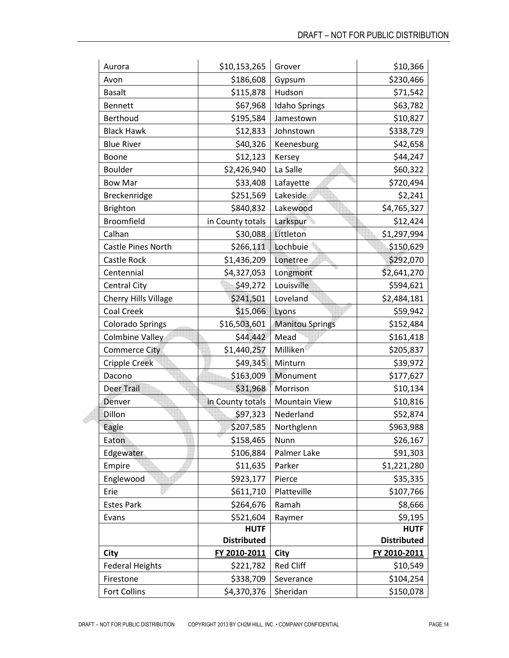| Aurora                      | \$10,153,265       | Grover                 | \$10,366           |
|-----------------------------|--------------------|------------------------|--------------------|
| Avon                        | \$186,608          | Gypsum                 | \$230,466          |
| <b>Basalt</b>               | \$115,878          | Hudson                 | \$71,542           |
| <b>Bennett</b>              | \$67,968           | <b>Idaho Springs</b>   | \$63,782           |
| Berthoud                    | \$195,584          | Jamestown              | \$10,827           |
| <b>Black Hawk</b>           | \$12,833           | Johnstown              | \$338,729          |
| <b>Blue River</b>           | \$40,326           | Keenesburg             | \$42,658           |
| Boone                       | \$12,123           | Kersey                 | \$44,247           |
| Boulder                     | \$2,426,940        | La Salle               | \$60,322           |
| <b>Bow Mar</b>              | \$33,408           | Lafayette              | \$720,494          |
| Breckenridge                | \$251,569          | Lakeside               | \$2,241            |
| <b>Brighton</b>             | \$840,832          | Lakewood               | \$4,765,327        |
| Broomfield                  | in County totals   | Larkspur               | \$12,424           |
| Calhan                      | \$30,088           | Littleton              | \$1,297,994        |
| Castle Pines North          | \$266,111          | Lochbuie               | \$150,629          |
| Castle Rock                 | \$1,436,209        | Lonetree               | \$292,070          |
| Centennial                  | \$4,327,053        | Longmont               | \$2,641,270        |
| Central City                | \$49,272           | Louisville             | \$594,621          |
| <b>Cherry Hills Village</b> | \$241,501          | Loveland               | \$2,484,181        |
| <b>Coal Creek</b>           | \$15,066           | Lyons                  | \$59,942           |
| <b>Colorado Springs</b>     | \$16,503,601       | <b>Manitou Springs</b> | \$152,484          |
| Colmbine Valley             | \$44,442           | Mead                   | \$161,418          |
| <b>Commerce City</b>        | \$1,440,257        | Milliken               | \$205,837          |
| Cripple Creek               | \$49,345           | Minturn                | \$39,972           |
| Dacono                      | \$163,009          | Monument               | \$177,627          |
| <b>Deer Trail</b>           | \$31,968           | Morrison               | \$10,134           |
| Denver                      | in County totals   | <b>Mountain View</b>   | \$10,816           |
| Dillon                      | \$97,323           | Nederland              | \$52,874           |
| Eagle                       | \$207,585          | Northglenn             | \$963,988          |
| Eaton                       | \$158,465          | Nunn                   | \$26,167           |
| Edgewater                   | \$106,884          | Palmer Lake            | \$91,303           |
| Empire                      | \$11,635           | Parker                 | \$1,221,280        |
| Englewood                   | \$923,177          | Pierce                 | \$35,335           |
| Erie                        | \$611,710          | Platteville            | \$107,766          |
| <b>Estes Park</b>           | \$264,676          | Ramah                  | \$8,666            |
| Evans                       | \$521,604          | Raymer                 | \$9,195            |
|                             | <b>HUTF</b>        |                        | <b>HUTF</b>        |
|                             | <b>Distributed</b> |                        | <b>Distributed</b> |
| City                        | FY 2010-2011       | <b>City</b>            | FY 2010-2011       |
| <b>Federal Heights</b>      | \$221,782          | <b>Red Cliff</b>       | \$10,549           |
| Firestone                   | \$338,709          | Severance              | \$104,254          |
| <b>Fort Collins</b>         | \$4,370,376        | Sheridan               | \$150,078          |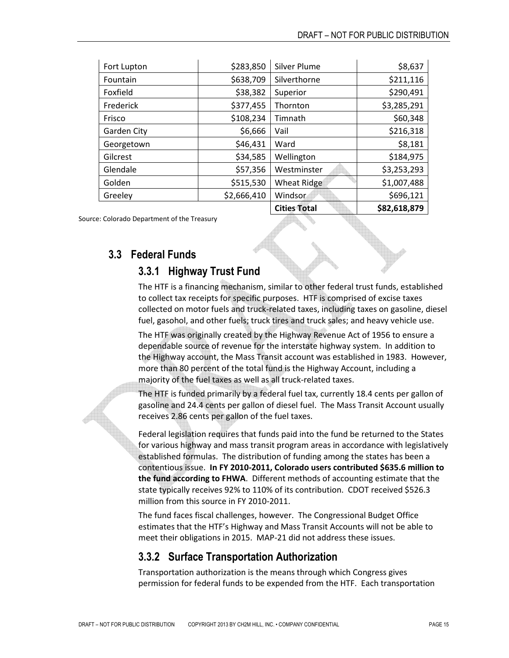| Fort Lupton        | \$283,850   | \$8,637<br><b>Silver Plume</b> |              |
|--------------------|-------------|--------------------------------|--------------|
| Fountain           | \$638,709   | Silverthorne                   | \$211,116    |
| Foxfield           | \$38,382    | Superior                       | \$290,491    |
| Frederick          | \$377,455   | Thornton                       | \$3,285,291  |
| Frisco             | \$108,234   | Timnath                        | \$60,348     |
| <b>Garden City</b> | \$6,666     | Vail                           | \$216,318    |
| Georgetown         | \$46,431    | Ward                           | \$8,181      |
| Gilcrest           | \$34,585    | Wellington                     | \$184,975    |
| Glendale           | \$57,356    | Westminster                    | \$3,253,293  |
| Golden             | \$515,530   | <b>Wheat Ridge</b>             | \$1,007,488  |
| Greeley            | \$2,666,410 | Windsor                        | \$696,121    |
|                    |             | <b>Cities Total</b>            | \$82,618,879 |

Source: Colorado Department of the Treasury

### **3.3 Federal Funds**

#### **3.3.1 Highway Trust Fund**

The HTF is a financing mechanism, similar to other federal trust funds, established to collect tax receipts for specific purposes. HTF is comprised of excise taxes collected on motor fuels and truck-related taxes, including taxes on gasoline, diesel fuel, gasohol, and other fuels; truck tires and truck sales; and heavy vehicle use.

The HTF was originally created by the Highway Revenue Act of 1956 to ensure a dependable source of revenue for the interstate highway system. In addition to the Highway account, the Mass Transit account was established in 1983. However, more than 80 percent of the total fund is the Highway Account, including a majority of the fuel taxes as well as all truck-related taxes.

The HTF is funded primarily by a federal fuel tax, currently 18.4 cents per gallon of gasoline and 24.4 cents per gallon of diesel fuel. The Mass Transit Account usually receives 2.86 cents per gallon of the fuel taxes.

Federal legislation requires that funds paid into the fund be returned to the States for various highway and mass transit program areas in accordance with legislatively established formulas. The distribution of funding among the states has been a contentious issue. **In FY 2010-2011, Colorado users contributed \$635.6 million to the fund according to FHWA**. Different methods of accounting estimate that the state typically receives 92% to 110% of its contribution. CDOT received \$526.3 million from this source in FY 2010-2011.

The fund faces fiscal challenges, however. The Congressional Budget Office estimates that the HTF's Highway and Mass Transit Accounts will not be able to meet their obligations in 2015. MAP-21 did not address these issues.

### **3.3.2 Surface Transportation Authorization**

Transportation authorization is the means through which Congress gives permission for federal funds to be expended from the HTF. Each transportation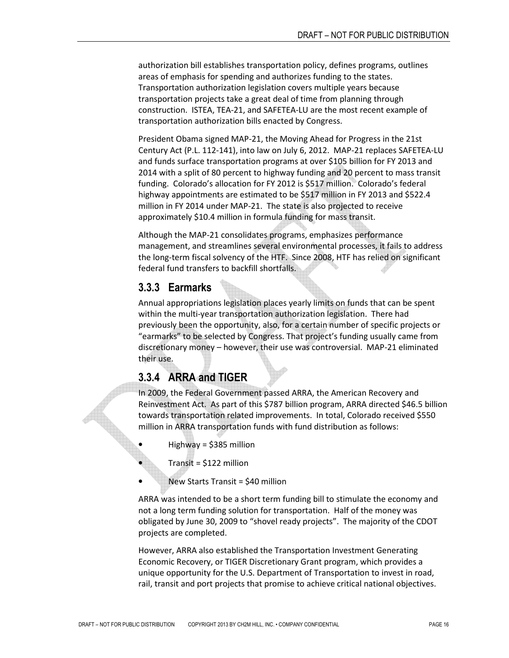authorization bill establishes transportation policy, defines programs, outlines areas of emphasis for spending and authorizes funding to the states. Transportation authorization legislation covers multiple years because transportation projects take a great deal of time from planning through construction. ISTEA, TEA-21, and SAFETEA-LU are the most recent example of transportation authorization bills enacted by Congress.

President Obama signed MAP-21, the Moving Ahead for Progress in the 21st Century Act (P.L. 112-141), into law on July 6, 2012. MAP-21 replaces SAFETEA-LU and funds surface transportation programs at over \$105 billion for FY 2013 and 2014 with a split of 80 percent to highway funding and 20 percent to mass transit funding. Colorado's allocation for FY 2012 is \$517 million. Colorado's federal highway appointments are estimated to be \$517 million in FY 2013 and \$522.4 million in FY 2014 under MAP-21. The state is also projected to receive approximately \$10.4 million in formula funding for mass transit.

Although the MAP-21 consolidates programs, emphasizes performance management, and streamlines several environmental processes, it fails to address the long-term fiscal solvency of the HTF. Since 2008, HTF has relied on significant federal fund transfers to backfill shortfalls.

#### **3.3.3 Earmarks**

Annual appropriations legislation places yearly limits on funds that can be spent within the multi-year transportation authorization legislation. There had previously been the opportunity, also, for a certain number of specific projects or "earmarks" to be selected by Congress. That project's funding usually came from discretionary money – however, their use was controversial. MAP-21 eliminated their use.

## **3.3.4 ARRA and TIGER**

In 2009, the Federal Government passed ARRA, the American Recovery and Reinvestment Act. As part of this \$787 billion program, ARRA directed \$46.5 billion towards transportation related improvements. In total, Colorado received \$550 million in ARRA transportation funds with fund distribution as follows:

- Highway = \$385 million
	- Transit = \$122 million
- New Starts Transit = \$40 million

ARRA was intended to be a short term funding bill to stimulate the economy and not a long term funding solution for transportation. Half of the money was obligated by June 30, 2009 to "shovel ready projects". The majority of the CDOT projects are completed.

However, ARRA also established the Transportation Investment Generating Economic Recovery, or TIGER Discretionary Grant program, which provides a unique opportunity for the U.S. Department of Transportation to invest in road, rail, transit and port projects that promise to achieve critical national objectives.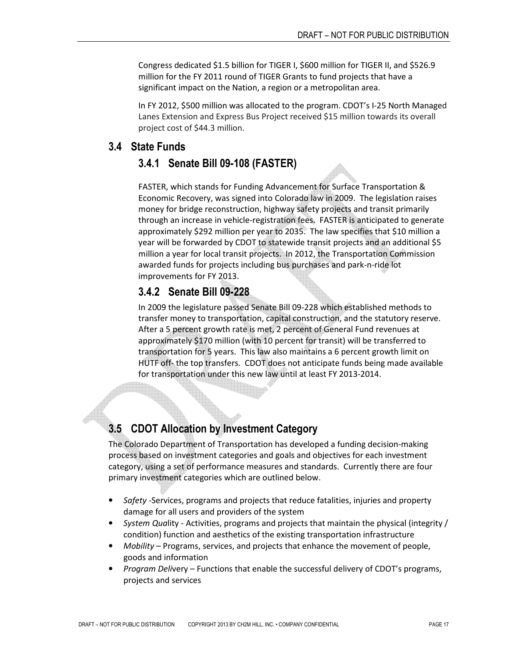Congress dedicated \$1.5 billion for TIGER I, \$600 million for TIGER II, and \$526.9 million for the FY 2011 round of TIGER Grants to fund projects that have a significant impact on the Nation, a region or a metropolitan area.

In FY 2012, \$500 million was allocated to the program. CDOT's I-25 North Managed Lanes Extension and Express Bus Project received \$15 million towards its overall project cost of \$44.3 million.

#### **3.4 State Funds**

#### **3.4.1 Senate Bill 09-108 (FASTER)**

FASTER, which stands for Funding Advancement for Surface Transportation & Economic Recovery, was signed into Colorado law in 2009. The legislation raises money for bridge reconstruction, highway safety projects and transit primarily through an increase in vehicle-registration fees. FASTER is anticipated to generate approximately \$292 million per year to 2035. The law specifies that \$10 million a year will be forwarded by CDOT to statewide transit projects and an additional \$5 million a year for local transit projects. In 2012, the Transportation Commission awarded funds for projects including bus purchases and park-n-ride lot improvements for FY 2013.

### **3.4.2 Senate Bill 09-228**

In 2009 the legislature passed Senate Bill 09-228 which established methods to transfer money to transportation, capital construction, and the statutory reserve. After a 5 percent growth rate is met, 2 percent of General Fund revenues at approximately \$170 million (with 10 percent for transit) will be transferred to transportation for 5 years. This law also maintains a 6 percent growth limit on HUTF off- the top transfers. CDOT does not anticipate funds being made available for transportation under this new law until at least FY 2013-2014.

# **3.5 CDOT Allocation by Investment Category**

The Colorado Department of Transportation has developed a funding decision-making process based on investment categories and goals and objectives for each investment category, using a set of performance measures and standards. Currently there are four primary investment categories which are outlined below.

- *Safety* -Services, programs and projects that reduce fatalities, injuries and property damage for all users and providers of the system
- *System Qua*lity Activities, programs and projects that maintain the physical (integrity / condition) function and aesthetics of the existing transportation infrastructure
- *Mobility* Programs, services, and projects that enhance the movement of people, goods and information
- *Program Deli*very Functions that enable the successful delivery of CDOT's programs, projects and services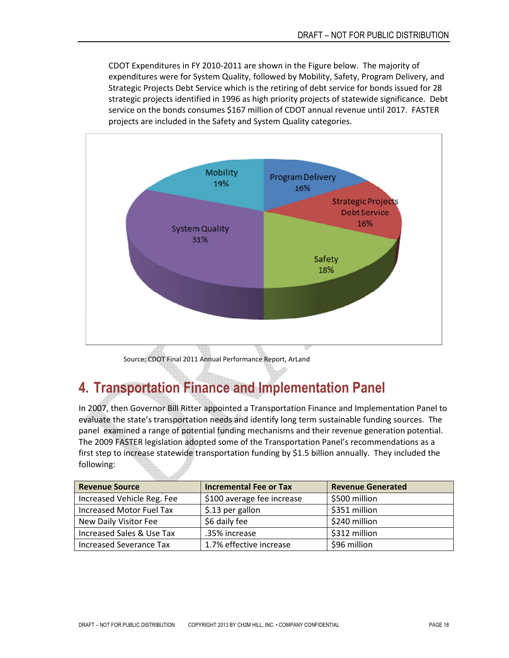CDOT Expenditures in FY 2010-2011 are shown in the Figure below. The majority of expenditures were for System Quality, followed by Mobility, Safety, Program Delivery, and Strategic Projects Debt Service which is the retiring of debt service for bonds issued for 28 strategic projects identified in 1996 as high priority projects of statewide significance. Debt service on the bonds consumes \$167 million of CDOT annual revenue until 2017. FASTER projects are included in the Safety and System Quality categories.



Source: CDOT Final 2011 Annual Performance Report, ArLand

# **4. Transportation Finance and Implementation Panel**

In 2007, then Governor Bill Ritter appointed a Transportation Finance and Implementation Panel to evaluate the state's transportation needs and identify long term sustainable funding sources. The panel examined a range of potential funding mechanisms and their revenue generation potential. The 2009 FASTER legislation adopted some of the Transportation Panel's recommendations as a first step to increase statewide transportation funding by \$1.5 billion annually. They included the following:

| <b>Revenue Source</b>          | <b>Incremental Fee or Tax</b> | <b>Revenue Generated</b> |
|--------------------------------|-------------------------------|--------------------------|
| Increased Vehicle Reg. Fee     | \$100 average fee increase    | \$500 million            |
| Increased Motor Fuel Tax       | \$.13 per gallon              | \$351 million            |
| New Daily Visitor Fee          | \$6 daily fee                 | \$240 million            |
| Increased Sales & Use Tax      | .35% increase                 | \$312 million            |
| <b>Increased Severance Tax</b> | 1.7% effective increase       | \$96 million             |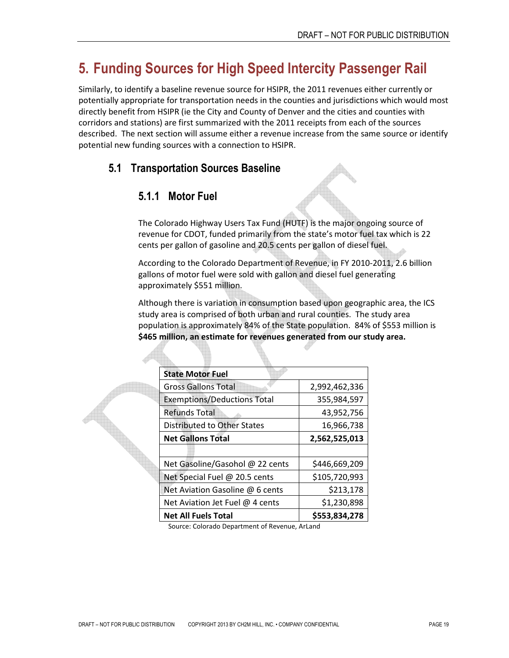# **5. Funding Sources for High Speed Intercity Passenger Rail**

Similarly, to identify a baseline revenue source for HSIPR, the 2011 revenues either currently or potentially appropriate for transportation needs in the counties and jurisdictions which would most directly benefit from HSIPR (ie the City and County of Denver and the cities and counties with corridors and stations) are first summarized with the 2011 receipts from each of the sources described. The next section will assume either a revenue increase from the same source or identify potential new funding sources with a connection to HSIPR.

## **5.1 Transportation Sources Baseline**

## **5.1.1 Motor Fuel**

The Colorado Highway Users Tax Fund (HUTF) is the major ongoing source of revenue for CDOT, funded primarily from the state's motor fuel tax which is 22 cents per gallon of gasoline and 20.5 cents per gallon of diesel fuel.

According to the Colorado Department of Revenue, in FY 2010-2011, 2.6 billion gallons of motor fuel were sold with gallon and diesel fuel generating approximately \$551 million.

Although there is variation in consumption based upon geographic area, the ICS study area is comprised of both urban and rural counties. The study area population is approximately 84% of the State population. 84% of \$553 million is **\$465 million, an estimate for revenues generated from our study area.** 

|  | <b>State Motor Fuel</b>            |               |
|--|------------------------------------|---------------|
|  | <b>Gross Gallons Total</b>         | 2,992,462,336 |
|  | <b>Exemptions/Deductions Total</b> | 355,984,597   |
|  | Refunds Total                      | 43,952,756    |
|  | Distributed to Other States        | 16,966,738    |
|  | <b>Net Gallons Total</b>           | 2,562,525,013 |
|  |                                    |               |
|  | Net Gasoline/Gasohol @ 22 cents    | \$446,669,209 |
|  | Net Special Fuel @ 20.5 cents      | \$105,720,993 |
|  | Net Aviation Gasoline @ 6 cents    | \$213,178     |
|  | Net Aviation Jet Fuel $@$ 4 cents  | \$1,230,898   |
|  | <b>Net All Fuels Total</b>         | \$553.834.278 |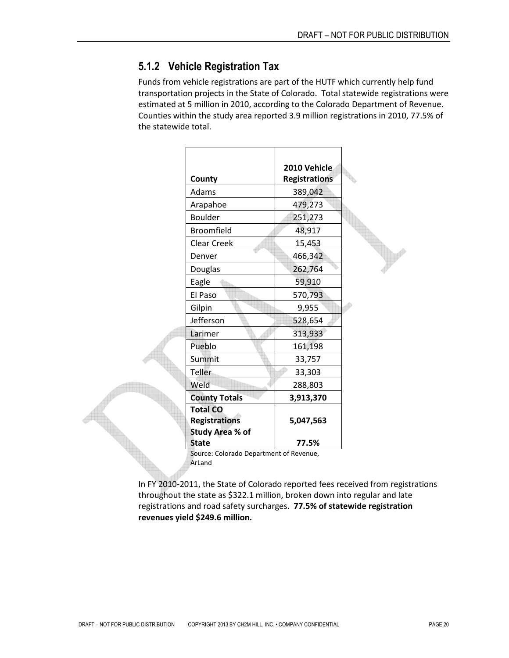## **5.1.2 Vehicle Registration Tax**

Funds from vehicle registrations are part of the HUTF which currently help fund transportation projects in the State of Colorado. Total statewide registrations were estimated at 5 million in 2010, according to the Colorado Department of Revenue. Counties within the study area reported 3.9 million registrations in 2010, 77.5% of the statewide total.

|                        | 2010 Vehicle         |
|------------------------|----------------------|
| County                 | <b>Registrations</b> |
| Adams                  | 389,042              |
| Arapahoe               | 479,273              |
| <b>Boulder</b>         | 251,273              |
| <b>Broomfield</b>      | 48,917               |
| <b>Clear Creek</b>     | 15,453               |
| Denver                 | 466,342              |
| Douglas                | 262,764              |
| Eagle                  | 59,910               |
| El Paso                | 570,793              |
| Gilpin                 | 9,955                |
| Jefferson              | 528,654              |
| Larimer                | 313,933              |
| Pueblo                 | 161,198              |
| Summit                 | 33,757               |
| Teller                 | 33,303               |
| Weld                   | 288,803              |
| <b>County Totals</b>   | 3,913,370            |
| <b>Total CO</b>        |                      |
| <b>Registrations</b>   | 5,047,563            |
| <b>Study Area % of</b> |                      |
| <b>State</b>           | 77.5%                |

olorado Department of Revenue, ArLand

In FY 2010-2011, the State of Colorado reported fees received from registrations throughout the state as \$322.1 million, broken down into regular and late registrations and road safety surcharges. **77.5% of statewide registration revenues yield \$249.6 million.**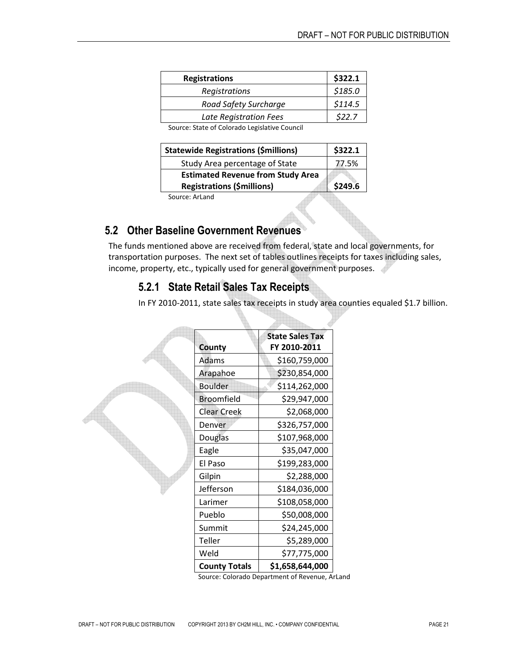| <b>Registrations</b>   | \$322.1 |
|------------------------|---------|
| Registrations          | \$185.0 |
| Road Safety Surcharge  | \$114.5 |
| Late Registration Fees | \$22.7  |

Source: State of Colorado Legislative Council

| <b>Statewide Registrations (\$millions)</b> | \$322.1 |
|---------------------------------------------|---------|
| Study Area percentage of State              | 77.5%   |
| <b>Estimated Revenue from Study Area</b>    |         |
| <b>Registrations (\$millions)</b>           | \$249.6 |
| $CQ$ urco: Arland                           |         |

Source: ArLand

## **5.2 Other Baseline Government Revenues**

The funds mentioned above are received from federal, state and local governments, for transportation purposes. The next set of tables outlines receipts for taxes including sales, income, property, etc., typically used for general government purposes.

### **5.2.1 State Retail Sales Tax Receipts**

In FY 2010-2011, state sales tax receipts in study area counties equaled \$1.7 billion.

II.

| County               | <b>State Sales Tax</b><br>FY 2010-2011 |
|----------------------|----------------------------------------|
| <b>Adams</b>         | \$160,759,000                          |
| Arapahoe             | \$230,854,000                          |
| <b>Boulder</b>       | \$114,262,000                          |
| <b>Broomfield</b>    | \$29,947,000                           |
| <b>Clear Creek</b>   | \$2,068,000                            |
| Denver               | \$326,757,000                          |
| <b>Douglas</b>       | \$107,968,000                          |
| Eagle                | \$35,047,000                           |
| El Paso              | \$199,283,000                          |
| Gilpin               | \$2,288,000                            |
| Jefferson            | \$184,036,000                          |
| Larimer              | \$108,058,000                          |
| Pueblo               | \$50,008,000                           |
| Summit               | \$24,245,000                           |
| Teller               | \$5,289,000                            |
| Weld                 | \$77,775,000                           |
| <b>County Totals</b> | \$1,658,644,000                        |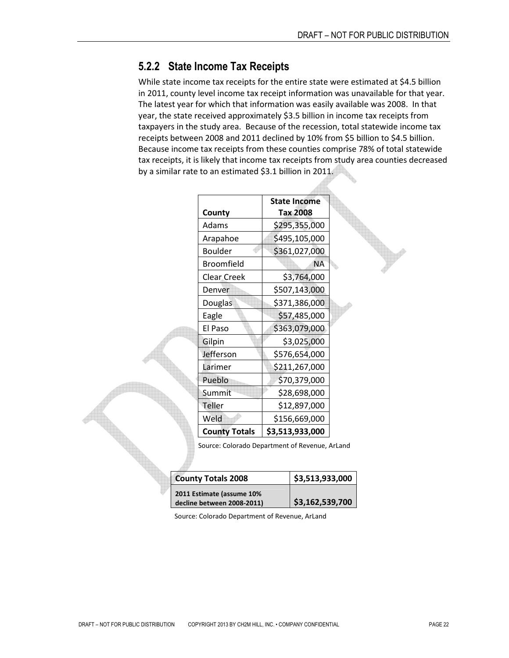### **5.2.2 State Income Tax Receipts**

While state income tax receipts for the entire state were estimated at \$4.5 billion in 2011, county level income tax receipt information was unavailable for that year. The latest year for which that information was easily available was 2008. In that year, the state received approximately \$3.5 billion in income tax receipts from taxpayers in the study area. Because of the recession, total statewide income tax receipts between 2008 and 2011 declined by 10% from \$5 billion to \$4.5 billion. Because income tax receipts from these counties comprise 78% of total statewide tax receipts, it is likely that income tax receipts from study area counties decreased by a similar rate to an estimated \$3.1 billion in 2011.

| County               | <b>State Income</b><br>Tax 2008 |  |
|----------------------|---------------------------------|--|
| Adams                | \$295,355,000                   |  |
| Arapahoe             | \$495,105,000                   |  |
| <b>Boulder</b>       | \$361,027,000                   |  |
| Broomfield           | <b>NA</b>                       |  |
| Clear Creek          | \$3,764,000                     |  |
| Denver               | \$507,143,000                   |  |
| Douglas              | \$371,386,000                   |  |
| Eagle                | \$57,485,000                    |  |
| El Paso              | \$363,079,000                   |  |
| Gilpin               | \$3,025,000                     |  |
| Jefferson            | \$576,654,000                   |  |
| Larimer              | \$211,267,000                   |  |
| Pueblo               | \$70,379,000                    |  |
| Summit               | \$28,698,000                    |  |
| Teller               | \$12,897,000                    |  |
| Weld                 | \$156,669,000                   |  |
| <b>County Totals</b> | \$3,513,933,000                 |  |

Source: Colorado Department of Revenue, ArLand

| <b>County Totals 2008</b>  | \$3,513,933,000 |  |
|----------------------------|-----------------|--|
| 2011 Estimate (assume 10%  |                 |  |
| decline between 2008-2011) | \$3,162,539,700 |  |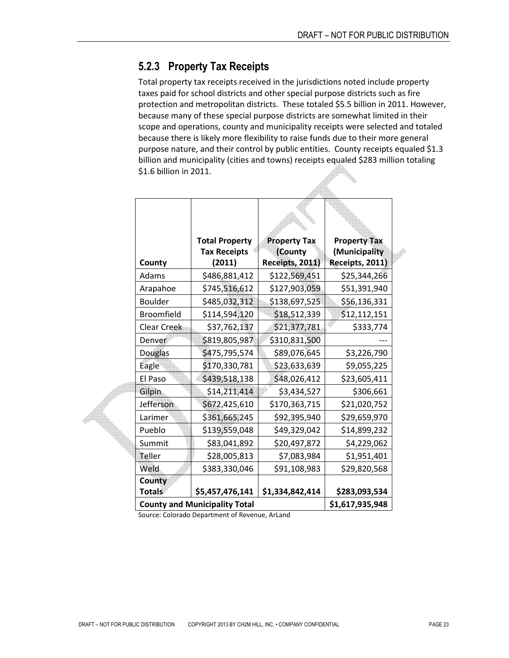### **5.2.3 Property Tax Receipts**

Total property tax receipts received in the jurisdictions noted include property taxes paid for school districts and other special purpose districts such as fire protection and metropolitan districts. These totaled \$5.5 billion in 2011. However, because many of these special purpose districts are somewhat limited in their scope and operations, county and municipality receipts were selected and totaled because there is likely more flexibility to raise funds due to their more general purpose nature, and their control by public entities. County receipts equaled \$1.3 billion and municipality (cities and towns) receipts equaled \$283 million totaling \$1.6 billion in 2011.

|                                      | <b>Total Property</b> | <b>Property Tax</b> | <b>Property Tax</b> |  |
|--------------------------------------|-----------------------|---------------------|---------------------|--|
|                                      | <b>Tax Receipts</b>   | (County             | (Municipality       |  |
| County                               | (2011)                | Receipts, 2011)     | Receipts, 2011)     |  |
| Adams                                | \$486,881,412         | \$122,569,451       | \$25,344,266        |  |
| Arapahoe                             | \$745,516,612         | \$127,903,059       | \$51,391,940        |  |
| <b>Boulder</b>                       | \$485,032,312         | \$138,697,525       | \$56,136,331        |  |
| <b>Broomfield</b>                    | \$114,594,120         | \$18,512,339        | \$12,112,151        |  |
| Clear Creek                          | \$37,762,137          | \$21,377,781        | \$333,774           |  |
| Denver                               | \$819,805,987         | \$310,831,500       |                     |  |
| <b>Douglas</b>                       | \$475,795,574         | \$89,076,645        | \$3,226,790         |  |
| Eagle                                | \$170,330,781         | \$23,633,639        | \$9,055,225         |  |
| El Paso                              | \$439,518,138         | \$48,026,412        | \$23,605,411        |  |
| Gilpin                               | \$14,211,414          | \$3,434,527         | \$306,661           |  |
| Jefferson                            | \$672,425,610         | \$170,363,715       | \$21,020,752        |  |
| Larimer                              | \$361,665,245         | \$92,395,940        | \$29,659,970        |  |
| Pueblo                               | \$139,559,048         | \$49,329,042        | \$14,899,232        |  |
| Summit                               | \$83,041,892          | \$20,497,872        | \$4,229,062         |  |
| Teller                               | \$28,005,813          | \$7,083,984         | \$1,951,401         |  |
| Weld                                 | \$383,330,046         | \$91,108,983        | \$29,820,568        |  |
| County                               |                       |                     |                     |  |
| <b>Totals</b>                        | \$5,457,476,141       | \$1,334,842,414     | \$283,093,534       |  |
| <b>County and Municipality Total</b> |                       |                     | \$1,617,935,948     |  |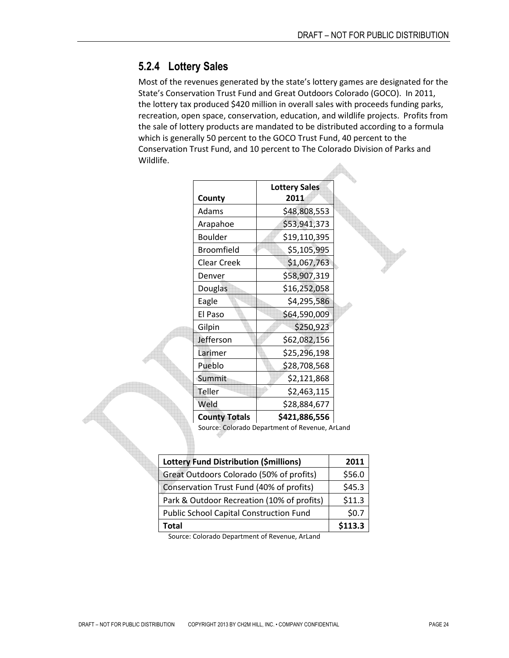# **5.2.4 Lottery Sales**

Most of the revenues generated by the state's lottery games are designated for the State's Conservation Trust Fund and Great Outdoors Colorado (GOCO). In 2011, the lottery tax produced \$420 million in overall sales with proceeds funding parks, recreation, open space, conservation, education, and wildlife projects. Profits from the sale of lottery products are mandated to be distributed according to a formula which is generally 50 percent to the GOCO Trust Fund, 40 percent to the Conservation Trust Fund, and 10 percent to The Colorado Division of Parks and Wildlife.

|                      | <b>Lottery Sales</b>                           |
|----------------------|------------------------------------------------|
| County               | 2011                                           |
| Adams                | \$48,808,553                                   |
| Arapahoe             | \$53,941,373                                   |
| Boulder              | \$19,110,395                                   |
| Broomfield           | \$5,105,995                                    |
| <b>Clear Creek</b>   | \$1,067,763                                    |
| Denver               | \$58,907,319                                   |
| Douglas              | \$16,252,058                                   |
| Eagle                | \$4,295,586                                    |
| El Paso              | \$64,590,009                                   |
| Gilpin               | \$250,923                                      |
| Jefferson            | \$62,082,156                                   |
| Larimer              | \$25,296,198                                   |
| Pueblo               | \$28,708,568                                   |
| Summit               | \$2,121,868                                    |
| Teller               | \$2,463,115                                    |
| Weld                 | \$28,884,677                                   |
| <b>County Totals</b> | \$421,886,556                                  |
|                      | Source: Colorado Department of Revenue. ArLand |

Source: Colorado Department of Revenue, ArLand

| <b>Lottery Fund Distribution (\$millions)</b>  | 2011    |
|------------------------------------------------|---------|
| Great Outdoors Colorado (50% of profits)       | \$56.0  |
| Conservation Trust Fund (40% of profits)       | \$45.3  |
| Park & Outdoor Recreation (10% of profits)     | \$11.3  |
| <b>Public School Capital Construction Fund</b> | \$0.7   |
| Total                                          | \$113.3 |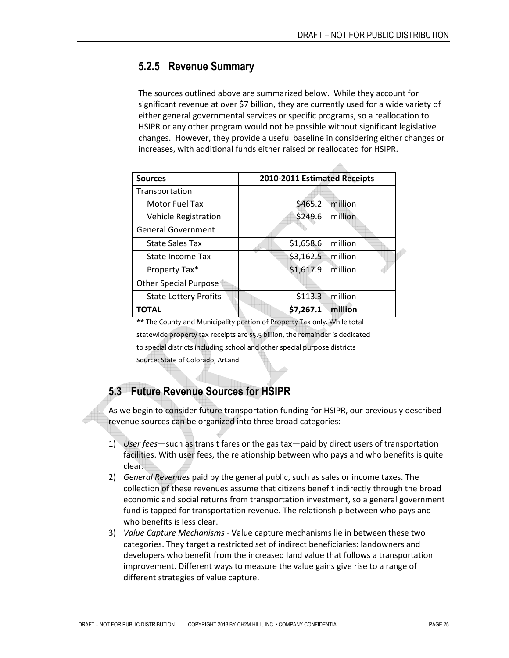### **5.2.5 Revenue Summary**

The sources outlined above are summarized below. While they account for significant revenue at over \$7 billion, they are currently used for a wide variety of either general governmental services or specific programs, so a reallocation to HSIPR or any other program would not be possible without significant legislative changes. However, they provide a useful baseline in considering either changes or increases, with additional funds either raised or reallocated for HSIPR.

| <b>Sources</b>               | 2010-2011 Estimated Receipts |          |  |
|------------------------------|------------------------------|----------|--|
| Transportation               |                              |          |  |
| Motor Fuel Tax               | \$465.2                      | million  |  |
| Vehicle Registration         | \$249.6                      | million  |  |
| <b>General Government</b>    |                              |          |  |
| <b>State Sales Tax</b>       | \$1,658.6                    | million  |  |
| State Income Tax             | \$3,162.5                    | million  |  |
| Property Tax*                | \$1,617.9                    | million  |  |
| <b>Other Special Purpose</b> |                              |          |  |
| <b>State Lottery Profits</b> | \$113.3                      | .million |  |
| TOTAL                        | \$7,267.1                    | million  |  |

\*\* The County and Municipality portion of Property Tax only. While total statewide property tax receipts are \$5.5 billion, the remainder is dedicated to special districts including school and other special purpose districts Source: State of Colorado, ArLand

## **5.3 Future Revenue Sources for HSIPR**

As we begin to consider future transportation funding for HSIPR, our previously described revenue sources can be organized into three broad categories:

- 1) *User fees*—such as transit fares or the gas tax—paid by direct users of transportation facilities. With user fees, the relationship between who pays and who benefits is quite clear.
- 2) *General Revenues* paid by the general public, such as sales or income taxes. The collection of these revenues assume that citizens benefit indirectly through the broad economic and social returns from transportation investment, so a general government fund is tapped for transportation revenue. The relationship between who pays and who benefits is less clear.
- 3) *Value Capture Mechanisms* Value capture mechanisms lie in between these two categories. They target a restricted set of indirect beneficiaries: landowners and developers who benefit from the increased land value that follows a transportation improvement. Different ways to measure the value gains give rise to a range of different strategies of value capture.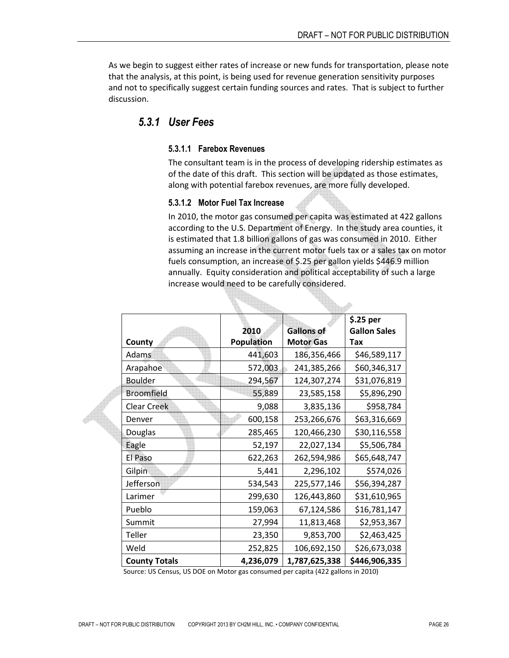As we begin to suggest either rates of increase or new funds for transportation, please note that the analysis, at this point, is being used for revenue generation sensitivity purposes and not to specifically suggest certain funding sources and rates. That is subject to further discussion.

### *5.3.1 User Fees*

#### **5.3.1.1 Farebox Revenues**

The consultant team is in the process of developing ridership estimates as of the date of this draft. This section will be updated as those estimates, along with potential farebox revenues, are more fully developed.

#### **5.3.1.2 Motor Fuel Tax Increase**

In 2010, the motor gas consumed per capita was estimated at 422 gallons according to the U.S. Department of Energy. In the study area counties, it is estimated that 1.8 billion gallons of gas was consumed in 2010. Either assuming an increase in the current motor fuels tax or a sales tax on motor fuels consumption, an increase of \$.25 per gallon yields \$446.9 million annually. Equity consideration and political acceptability of such a large increase would need to be carefully considered.

|                      | 2010              | <b>Gallons of</b> | \$.25 per<br><b>Gallon Sales</b> |
|----------------------|-------------------|-------------------|----------------------------------|
| County               | <b>Population</b> | <b>Motor Gas</b>  | Tax                              |
| Adams                | 441,603           | 186,356,466       | \$46,589,117                     |
| Arapahoe             | 572,003           | 241,385,266       | \$60,346,317                     |
| Boulder              | 294,567           | 124,307,274       | \$31,076,819                     |
| <b>Broomfield</b>    | 55,889            | 23,585,158        | \$5,896,290                      |
| <b>Clear Creek</b>   | 9,088             | 3,835,136         | \$958,784                        |
| Denver               | 600,158           | 253,266,676       | \$63,316,669                     |
| Douglas              | 285,465           | 120,466,230       | \$30,116,558                     |
| Eagle                | 52,197            | 22,027,134        | \$5,506,784                      |
| El Paso              | 622,263           | 262,594,986       | \$65,648,747                     |
| Gilpin               | 5,441             | 2,296,102         | \$574,026                        |
| Jefferson            | 534,543           | 225,577,146       | \$56,394,287                     |
| Larimer              | 299,630           | 126,443,860       | \$31,610,965                     |
| Pueblo               | 159,063           | 67,124,586        | \$16,781,147                     |
| Summit               | 27,994            | 11,813,468        | \$2,953,367                      |
| Teller               | 23,350            | 9,853,700         | \$2,463,425                      |
| Weld                 | 252,825           | 106,692,150       | \$26,673,038                     |
| <b>County Totals</b> | 4,236,079         | 1,787,625,338     | \$446,906,335                    |

Source: US Census, US DOE on Motor gas consumed per capita (422 gallons in 2010)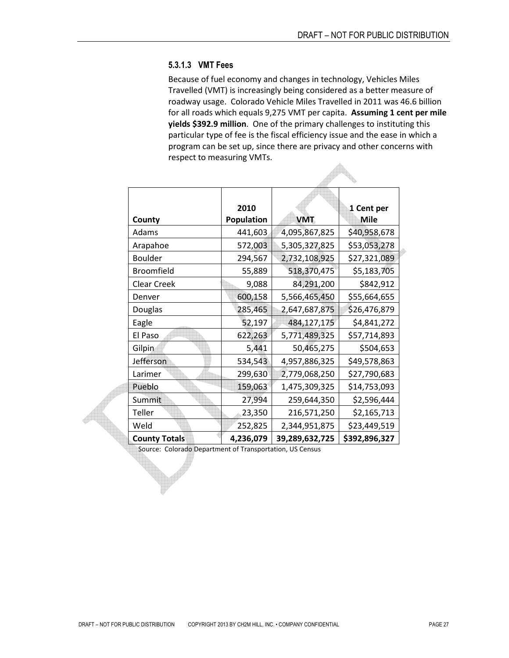#### **5.3.1.3 VMT Fees**

Because of fuel economy and changes in technology, Vehicles Miles Travelled (VMT) is increasingly being considered as a better measure of roadway usage. Colorado Vehicle Miles Travelled in 2011 was 46.6 billion for all roads which equals 9,275 VMT per capita. **Assuming 1 cent per mile yields \$392.9 million**. One of the primary challenges to instituting this particular type of fee is the fiscal efficiency issue and the ease in which a program can be set up, since there are privacy and other concerns with respect to measuring VMTs.

| County               | 2010<br><b>Population</b> | <b>VMT</b>     | 1 Cent per<br>Mile |
|----------------------|---------------------------|----------------|--------------------|
| Adams                | 441,603                   | 4,095,867,825  | \$40,958,678       |
| Arapahoe             | 572,003                   | 5,305,327,825  | \$53,053,278       |
| Boulder              | 294,567                   | 2,732,108,925  | \$27,321,089       |
| <b>Broomfield</b>    | 55,889                    | 518,370,475    | \$5,183,705        |
| Clear Creek          | 9,088                     | 84,291,200     | \$842,912          |
| Denver               | 600,158                   | 5,566,465,450  | \$55,664,655       |
| Douglas              | 285,465                   | 2,647,687,875  | \$26,476,879       |
| Eagle                | 52,197                    | 484,127,175    | \$4,841,272        |
| El Paso              | 622,263                   | 5,771,489,325  | \$57,714,893       |
| Gilpin               | 5,441                     | 50,465,275     | \$504,653          |
| Jefferson            | 534,543                   | 4,957,886,325  | \$49,578,863       |
| Larimer              | 299,630                   | 2,779,068,250  | \$27,790,683       |
| Pueblo               | 159,063                   | 1,475,309,325  | \$14,753,093       |
| Summit               | 27,994                    | 259,644,350    | \$2,596,444        |
| Teller               | 23,350                    | 216,571,250    | \$2,165,713        |
| Weld                 | 252,825                   | 2,344,951,875  | \$23,449,519       |
| <b>County Totals</b> | 4,236,079                 | 39,289,632,725 | \$392,896,327      |

Source: Colorado Department of Transportation, US Census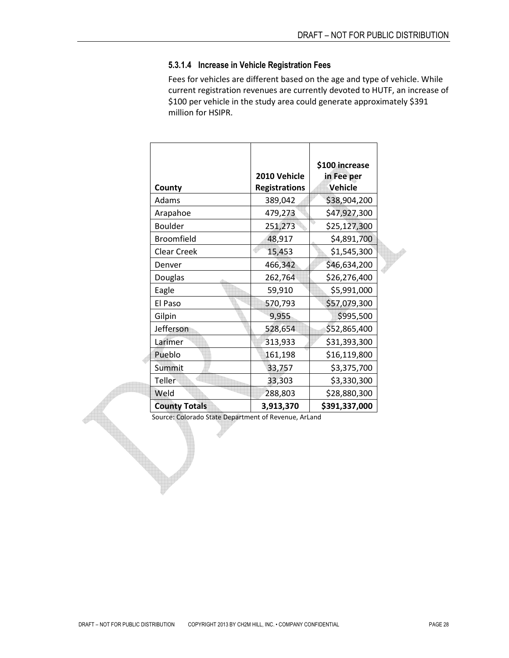#### **5.3.1.4 Increase in Vehicle Registration Fees**

Fees for vehicles are different based on the age and type of vehicle. While current registration revenues are currently devoted to HUTF, an increase of \$100 per vehicle in the study area could generate approximately \$391 million for HSIPR.

| County               | 2010 Vehicle<br><b>Registrations</b> | \$100 increase<br>in Fee per<br>Vehicle |
|----------------------|--------------------------------------|-----------------------------------------|
| Adams                | 389,042                              | \$38,904,200                            |
| Arapahoe             | 479,273                              | \$47,927,300                            |
| <b>Boulder</b>       | 251,273                              | \$25,127,300                            |
| <b>Broomfield</b>    | 48,917                               | \$4,891,700                             |
| <b>Clear Creek</b>   | 15,453                               | \$1,545,300                             |
| Denver               | 466,342                              | \$46,634,200                            |
| Douglas              | 262,764                              | \$26,276,400                            |
| Eagle                | 59,910                               | \$5,991,000                             |
| El Paso              | 570,793                              | \$57,079,300                            |
| Gilpin               | 9,955                                | \$995,500                               |
| Jefferson            | 528,654                              | \$52,865,400                            |
| Larimer              | 313,933                              | \$31,393,300                            |
| Pueblo               | 161,198                              | \$16,119,800                            |
| Summit               | 33,757                               | \$3,375,700                             |
| Teller               | 33,303                               | \$3,330,300                             |
| Weld                 | 288,803                              | \$28,880,300                            |
| <b>County Totals</b> | 3,913,370                            | \$391,337,000                           |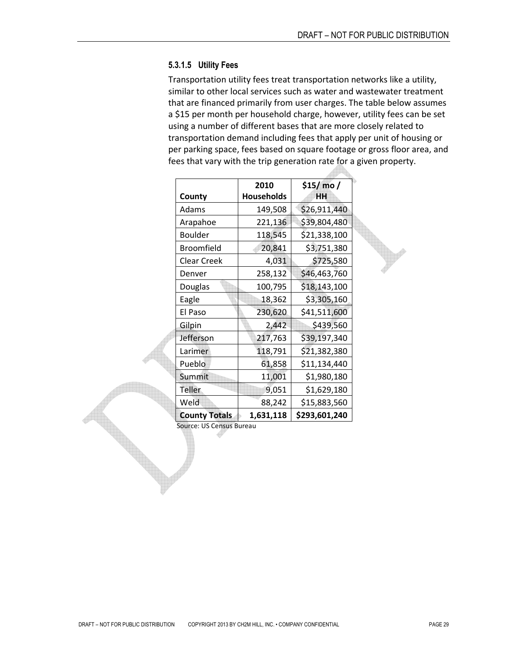#### **5.3.1.5 Utility Fees**

Transportation utility fees treat transportation networks like a utility, similar to other local services such as water and wastewater treatment that are financed primarily from user charges. The table below assumes a \$15 per month per household charge, however, utility fees can be set using a number of different bases that are more closely related to transportation demand including fees that apply per unit of housing or per parking space, fees based on square footage or gross floor area, and fees that vary with the trip generation rate for a given property.

|                      | 2010       | $$15/$ mo /   |
|----------------------|------------|---------------|
| County               | Households | нн            |
| Adams                | 149,508    | \$26,911,440  |
| Arapahoe             | 221,136    | \$39,804,480  |
| Boulder              | 118,545    | \$21,338,100  |
| Broomfield           | 20,841     | \$3,751,380   |
| <b>Clear Creek</b>   | 4,031      | \$725,580     |
| Denver               | 258,132    | \$46,463,760  |
| Douglas              | 100,795    | \$18,143,100  |
| Eagle                | 18,362     | \$3,305,160   |
| El Paso              | 230,620    | \$41,511,600  |
| Gilpin               | 2,442      | \$439,560     |
| Jefferson            | 217,763    | \$39,197,340  |
| Larimer              | 118,791    | \$21,382,380  |
| Pueblo               | 61,858     | \$11,134,440  |
| Summit               | 11,001     | \$1,980,180   |
| Teller               | 9,051      | \$1,629,180   |
| Weld                 | 88,242     | \$15,883,560  |
| <b>County Totals</b> | 1,631,118  | \$293,601,240 |

Source: US Census Bureau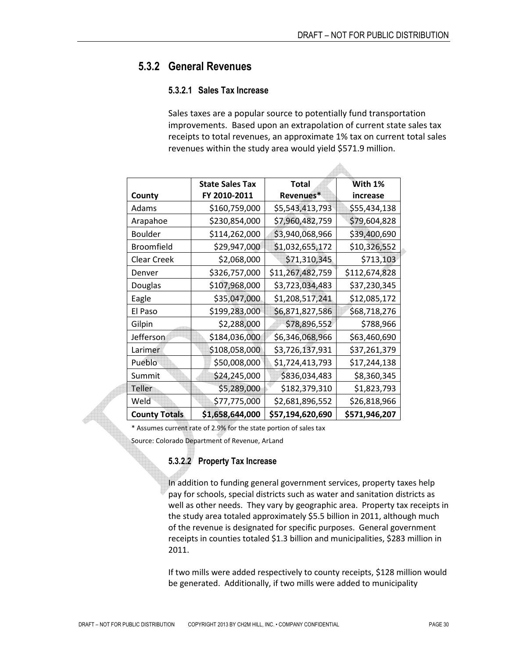### **5.3.2 General Revenues**

#### **5.3.2.1 Sales Tax Increase**

Sales taxes are a popular source to potentially fund transportation improvements. Based upon an extrapolation of current state sales tax receipts to total revenues, an approximate 1% tax on current total sales revenues within the study area would yield \$571.9 million.

 $\triangle$ 

| County               | <b>State Sales Tax</b><br>FY 2010-2011 | Total<br>Revenues* | With 1%<br>increase |
|----------------------|----------------------------------------|--------------------|---------------------|
| Adams                | \$160,759,000                          | \$5,543,413,793    | \$55,434,138        |
| Arapahoe             | \$230,854,000                          | \$7,960,482,759    | \$79,604,828        |
| <b>Boulder</b>       | \$114,262,000                          | \$3,940,068,966    | \$39,400,690        |
| <b>Broomfield</b>    | \$29,947,000                           | \$1,032,655,172    | \$10,326,552        |
| <b>Clear Creek</b>   | \$2,068,000                            | \$71,310,345       | \$713,103           |
| Denver               | \$326,757,000                          | \$11,267,482,759   | \$112,674,828       |
| Douglas              | \$107,968,000                          | \$3,723,034,483    | \$37,230,345        |
| Eagle                | \$35,047,000                           | \$1,208,517,241    | \$12,085,172        |
| El Paso              | \$199,283,000                          | \$6,871,827,586    | \$68,718,276        |
| Gilpin               | \$2,288,000                            | \$78,896,552       | \$788,966           |
| Jefferson            | \$184,036,000                          | \$6,346,068,966    | \$63,460,690        |
| Larimer              | \$108,058,000                          | \$3,726,137,931    | \$37,261,379        |
| Pueblo               | \$50,008,000                           | \$1,724,413,793    | \$17,244,138        |
| Summit               | \$24,245,000                           | \$836,034,483      | \$8,360,345         |
| Teller               | \$5,289,000                            | \$182,379,310      | \$1,823,793         |
| Weld                 | \$77,775,000                           | \$2,681,896,552    | \$26,818,966        |
| <b>County Totals</b> | \$1,658,644,000                        | \$57,194,620,690   | \$571,946,207       |

\* Assumes current rate of 2.9% for the state portion of sales tax

Source: Colorado Department of Revenue, ArLand

#### **5.3.2.2 Property Tax Increase**

In addition to funding general government services, property taxes help pay for schools, special districts such as water and sanitation districts as well as other needs. They vary by geographic area. Property tax receipts in the study area totaled approximately \$5.5 billion in 2011, although much of the revenue is designated for specific purposes. General government receipts in counties totaled \$1.3 billion and municipalities, \$283 million in 2011.

If two mills were added respectively to county receipts, \$128 million would be generated. Additionally, if two mills were added to municipality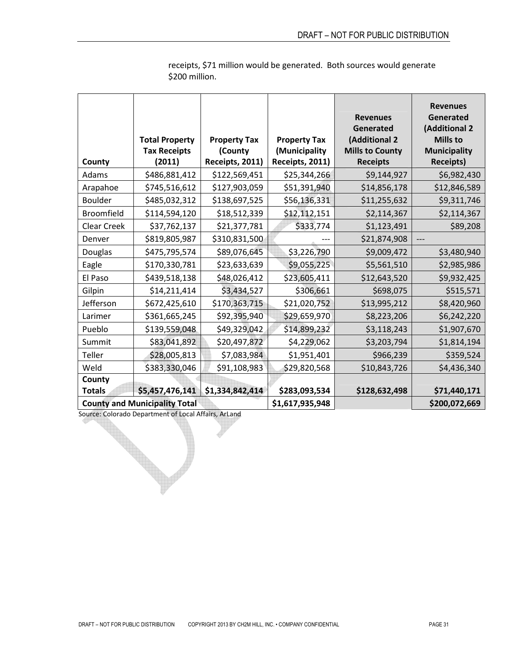| County             | <b>Total Property</b><br><b>Tax Receipts</b><br>(2011) | <b>Property Tax</b><br>(County<br>Receipts, 2011) | <b>Property Tax</b><br>(Municipality<br>Receipts, 2011) | <b>Revenues</b><br>Generated<br>(Additional 2<br><b>Mills to County</b><br><b>Receipts</b> | <b>Revenues</b><br>Generated<br>(Additional 2<br><b>Mills to</b><br><b>Municipality</b><br><b>Receipts)</b> |
|--------------------|--------------------------------------------------------|---------------------------------------------------|---------------------------------------------------------|--------------------------------------------------------------------------------------------|-------------------------------------------------------------------------------------------------------------|
| Adams              | \$486,881,412                                          | \$122,569,451                                     | \$25,344,266                                            | \$9,144,927                                                                                | \$6,982,430                                                                                                 |
| Arapahoe           | \$745,516,612                                          | \$127,903,059                                     | \$51,391,940                                            | \$14,856,178                                                                               | \$12,846,589                                                                                                |
| <b>Boulder</b>     | \$485,032,312                                          | \$138,697,525                                     | \$56,136,331                                            | \$11,255,632                                                                               | \$9,311,746                                                                                                 |
| <b>Broomfield</b>  | \$114,594,120                                          | \$18,512,339                                      | \$12,112,151                                            | \$2,114,367                                                                                | \$2,114,367                                                                                                 |
| <b>Clear Creek</b> | \$37,762,137                                           | \$21,377,781                                      | \$333,774                                               | \$1,123,491                                                                                | \$89,208                                                                                                    |
| Denver             | \$819,805,987                                          | \$310,831,500                                     |                                                         | \$21,874,908                                                                               |                                                                                                             |
| Douglas            | \$475,795,574                                          | \$89,076,645                                      | \$3,226,790                                             | \$9,009,472                                                                                | \$3,480,940                                                                                                 |
| Eagle              | \$170,330,781                                          | \$23,633,639                                      | \$9,055,225                                             | \$5,561,510                                                                                | \$2,985,986                                                                                                 |
| El Paso            | \$439,518,138                                          | \$48,026,412                                      | \$23,605,411                                            | \$12,643,520                                                                               | \$9,932,425                                                                                                 |
| Gilpin             | \$14,211,414                                           | \$3,434,527                                       | \$306,661                                               | \$698,075                                                                                  | \$515,571                                                                                                   |
| Jefferson          | \$672,425,610                                          | \$170,363,715                                     | \$21,020,752                                            | \$13,995,212                                                                               | \$8,420,960                                                                                                 |
| Larimer            | \$361,665,245                                          | \$92,395,940                                      | \$29,659,970                                            | \$8,223,206                                                                                | \$6,242,220                                                                                                 |
| Pueblo             | \$139,559,048                                          | \$49,329,042                                      | \$14,899,232                                            | \$3,118,243                                                                                | \$1,907,670                                                                                                 |
| Summit             | \$83,041,892                                           | \$20,497,872                                      | \$4,229,062                                             | \$3,203,794                                                                                | \$1,814,194                                                                                                 |
| Teller             | \$28,005,813                                           | \$7,083,984                                       | \$1,951,401                                             | \$966,239                                                                                  | \$359,524                                                                                                   |
| Weld               | \$383,330,046                                          | \$91,108,983                                      | \$29,820,568                                            | \$10,843,726                                                                               | \$4,436,340                                                                                                 |
| County             |                                                        |                                                   |                                                         |                                                                                            |                                                                                                             |
| <b>Totals</b>      | \$5,457,476,141                                        | \$1,334,842,414                                   | \$283,093,534                                           | \$128,632,498                                                                              | \$71,440,171                                                                                                |
|                    | <b>County and Municipality Total</b>                   |                                                   | \$1,617,935,948                                         |                                                                                            | \$200,072,669                                                                                               |

receipts, \$71 million would be generated. Both sources would generate \$200 million.

Source: Colorado Department of Local Affairs, ArLand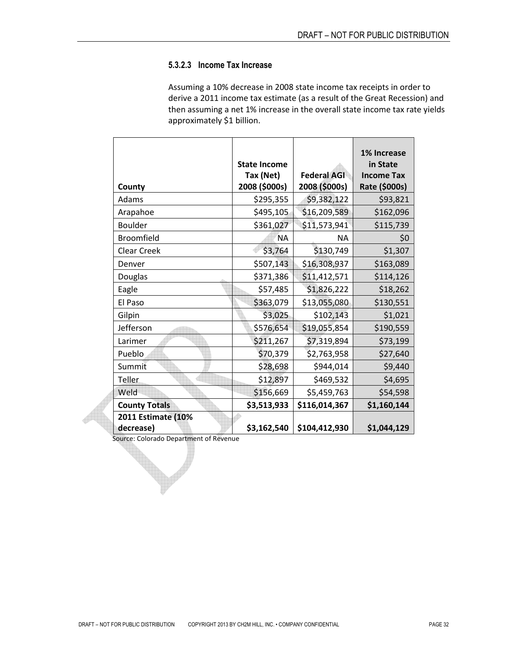#### **5.3.2.3 Income Tax Increase**

Assuming a 10% decrease in 2008 state income tax receipts in order to derive a 2011 income tax estimate (as a result of the Great Recession) and then assuming a net 1% increase in the overall state income tax rate yields approximately \$1 billion.

| County                                            | <b>State Income</b><br>Tax (Net)<br>2008 (\$000s) | <b>Federal AGI</b><br>2008 (\$000s) | 1% Increase<br>in State<br><b>Income Tax</b><br>Rate (\$000s) |
|---------------------------------------------------|---------------------------------------------------|-------------------------------------|---------------------------------------------------------------|
| Adams                                             | \$295,355                                         | \$9,382,122                         | \$93,821                                                      |
| Arapahoe                                          | \$495,105                                         | \$16,209,589                        | \$162,096                                                     |
| <b>Boulder</b>                                    | \$361,027                                         | \$11,573,941                        | \$115,739                                                     |
| <b>Broomfield</b>                                 | <b>NA</b>                                         | <b>NA</b>                           | \$0                                                           |
| <b>Clear Creek</b>                                | \$3,764                                           | \$130,749                           | \$1,307                                                       |
| Denver                                            | \$507,143                                         | \$16,308,937                        | \$163,089                                                     |
| Douglas                                           | \$371,386                                         | \$11,412,571                        | \$114,126                                                     |
| Eagle                                             | \$57,485                                          | \$1,826,222                         | \$18,262                                                      |
| El Paso                                           | \$363,079                                         | \$13,055,080                        | \$130,551                                                     |
| Gilpin                                            | \$3,025                                           | \$102,143                           | \$1,021                                                       |
| Jefferson                                         | \$576,654                                         | \$19,055,854                        | \$190,559                                                     |
| Larimer                                           | \$211,267                                         | \$7,319,894                         | \$73,199                                                      |
| Pueblo                                            | \$70,379                                          | \$2,763,958                         | \$27,640                                                      |
| Summit                                            | \$28,698                                          | \$944,014                           | \$9,440                                                       |
| Teller                                            | \$12,897                                          | \$469,532                           | \$4,695                                                       |
| Weld                                              | \$156,669                                         | \$5,459,763                         | \$54,598                                                      |
| <b>County Totals</b>                              | \$3,513,933                                       | \$116,014,367                       | \$1,160,144                                                   |
| 2011 Estimate (10%                                |                                                   |                                     |                                                               |
| decrease)<br>urca: Colorado Department of Boyanus | \$3,162,540                                       | \$104,412,930                       | \$1,044,129                                                   |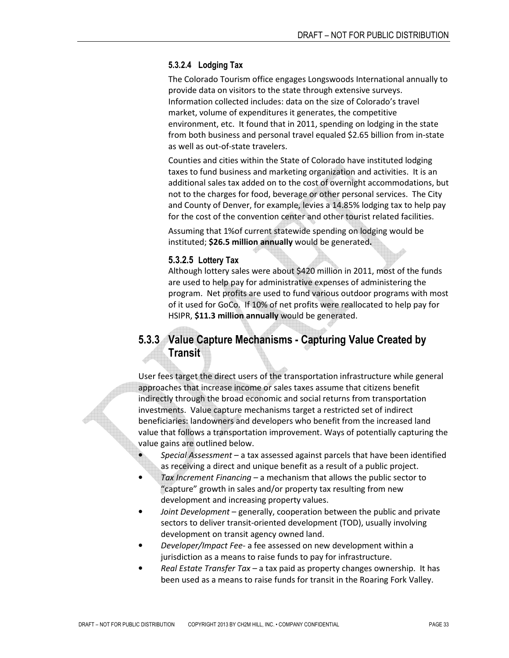#### **5.3.2.4 Lodging Tax**

The Colorado Tourism office engages Longswoods International annually to provide data on visitors to the state through extensive surveys. Information collected includes: data on the size of Colorado's travel market, volume of expenditures it generates, the competitive environment, etc. It found that in 2011, spending on lodging in the state from both business and personal travel equaled \$2.65 billion from in-state as well as out-of-state travelers.

Counties and cities within the State of Colorado have instituted lodging taxes to fund business and marketing organization and activities. It is an additional sales tax added on to the cost of overnight accommodations, but not to the charges for food, beverage or other personal services. The City and County of Denver, for example, levies a 14.85% lodging tax to help pay for the cost of the convention center and other tourist related facilities.

Assuming that 1%of current statewide spending on lodging would be instituted; **\$26.5 million annually** would be generated**.** 

#### **5.3.2.5 Lottery Tax**

Although lottery sales were about \$420 million in 2011, most of the funds are used to help pay for administrative expenses of administering the program. Net profits are used to fund various outdoor programs with most of it used for GoCo. If 10% of net profits were reallocated to help pay for HSIPR, **\$11.3 million annually** would be generated.

### **5.3.3 Value Capture Mechanisms - Capturing Value Created by Transit**

User fees target the direct users of the transportation infrastructure while general approaches that increase income or sales taxes assume that citizens benefit indirectly through the broad economic and social returns from transportation investments. Value capture mechanisms target a restricted set of indirect beneficiaries: landowners and developers who benefit from the increased land value that follows a transportation improvement. Ways of potentially capturing the value gains are outlined below.

- *Special Assessment*  a tax assessed against parcels that have been identified as receiving a direct and unique benefit as a result of a public project.
- *Tax Increment Financing*  a mechanism that allows the public sector to "capture" growth in sales and/or property tax resulting from new development and increasing property values.
- *Joint Development*  generally, cooperation between the public and private sectors to deliver transit-oriented development (TOD), usually involving development on transit agency owned land.
- *Developer/Impact Fee-* a fee assessed on new development within a jurisdiction as a means to raise funds to pay for infrastructure.
- *Real Estate Transfer Tax –* a tax paid as property changes ownership. It has been used as a means to raise funds for transit in the Roaring Fork Valley.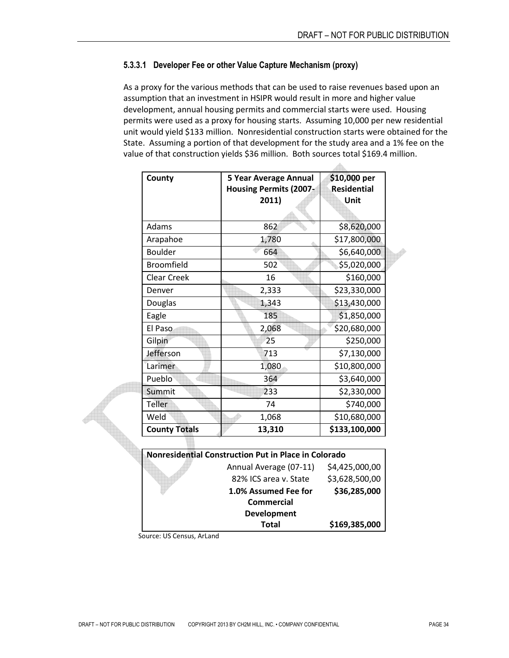#### **5.3.3.1 Developer Fee or other Value Capture Mechanism (proxy)**

As a proxy for the various methods that can be used to raise revenues based upon an assumption that an investment in HSIPR would result in more and higher value development, annual housing permits and commercial starts were used. Housing permits were used as a proxy for housing starts. Assuming 10,000 per new residential unit would yield \$133 million. Nonresidential construction starts were obtained for the State. Assuming a portion of that development for the study area and a 1% fee on the value of that construction yields \$36 million. Both sources total \$169.4 million.

| County               | <b>5 Year Average Annual</b><br><b>Housing Permits (2007-</b><br>2011) | \$10,000 per<br><b>Residential</b><br>Unit |
|----------------------|------------------------------------------------------------------------|--------------------------------------------|
| Adams                | 862                                                                    | \$8,620,000                                |
| Arapahoe             | 1,780                                                                  | \$17,800,000                               |
| <b>Boulder</b>       | 664                                                                    | \$6,640,000                                |
| <b>Broomfield</b>    | 502                                                                    | \$5,020,000                                |
| <b>Clear Creek</b>   | 16                                                                     | \$160,000                                  |
| Denver               | 2,333                                                                  | \$23,330,000                               |
| Douglas              | 1,343                                                                  | \$13,430,000                               |
| Eagle                | 185                                                                    | \$1,850,000                                |
| El Paso              | 2,068                                                                  | \$20,680,000                               |
| Gilpin               | 25                                                                     | \$250,000                                  |
| Jefferson            | 713                                                                    | \$7,130,000                                |
| Larimer              | 1,080                                                                  | \$10,800,000                               |
| Pueblo               | 364                                                                    | \$3,640,000                                |
| Summit               | 233                                                                    | \$2,330,000                                |
| Teller               | 74                                                                     | \$740,000                                  |
| Weld                 | 1,068                                                                  | \$10,680,000                               |
| <b>County Totals</b> | 13,310                                                                 | \$133,100,000                              |

| <b>Nonresidential Construction Put in Place in Colorado</b> |                        |                |  |  |  |  |  |
|-------------------------------------------------------------|------------------------|----------------|--|--|--|--|--|
|                                                             | Annual Average (07-11) | \$4,425,000,00 |  |  |  |  |  |
|                                                             | 82% ICS area v. State  | \$3,628,500,00 |  |  |  |  |  |
|                                                             | 1.0% Assumed Fee for   |                |  |  |  |  |  |
|                                                             | <b>Commercial</b>      |                |  |  |  |  |  |
| Development                                                 |                        |                |  |  |  |  |  |
|                                                             | Total                  | \$169,385,000  |  |  |  |  |  |

Source: US Census, ArLand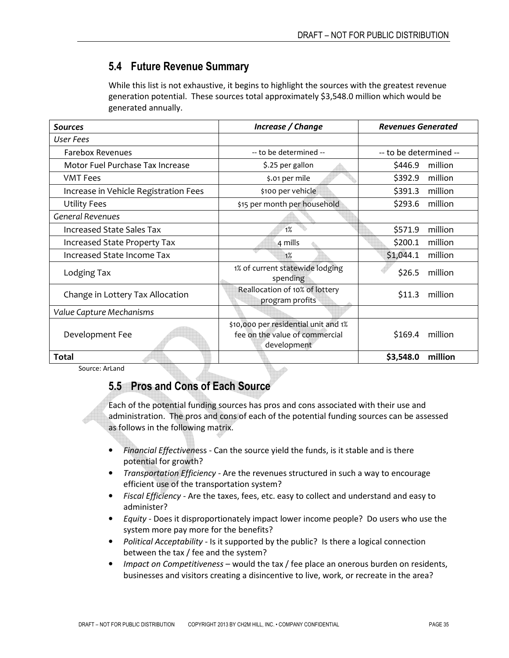### **5.4 Future Revenue Summary**

While this list is not exhaustive, it begins to highlight the sources with the greatest revenue generation potential. These sources total approximately \$3,548.0 million which would be generated annually.

| Sources                               | Increase / Change                                                                     | <b>Revenues Generated</b> |
|---------------------------------------|---------------------------------------------------------------------------------------|---------------------------|
| <b>User Fees</b>                      |                                                                                       |                           |
| <b>Farebox Revenues</b>               | -- to be determined --                                                                | -- to be determined --    |
| Motor Fuel Purchase Tax Increase      | \$.25 per gallon                                                                      | \$446.9<br>million        |
| <b>VMT Fees</b>                       | \$.01 per mile                                                                        | \$392.9<br>million        |
| Increase in Vehicle Registration Fees | \$100 per vehicle                                                                     | \$391.3<br>million        |
| <b>Utility Fees</b>                   | \$15 per month per household                                                          | \$293.6<br>million        |
| <b>General Revenues</b>               |                                                                                       |                           |
| <b>Increased State Sales Tax</b>      | 1%                                                                                    | \$571.9<br>million        |
| <b>Increased State Property Tax</b>   | 4 mills                                                                               | \$200.1<br>million        |
| Increased State Income Tax            | 1%                                                                                    | \$1,044.1<br>million      |
| Lodging Tax                           | 1% of current statewide lodging<br>spending                                           | \$26.5<br>million         |
| Change in Lottery Tax Allocation      | Reallocation of 10% of lottery<br>program profits                                     | \$11.3<br>million         |
| Value Capture Mechanisms              |                                                                                       |                           |
| Development Fee                       | \$10,000 per residential unit and 1%<br>fee on the value of commercial<br>development | \$169.4<br>million        |
| Total                                 |                                                                                       | million<br>\$3,548.0      |

Source: ArLand

## **5.5 Pros and Cons of Each Source**

Each of the potential funding sources has pros and cons associated with their use and administration. The pros and cons of each of the potential funding sources can be assessed as follows in the following matrix.

- *Financial Effectiven*ess Can the source yield the funds, is it stable and is there potential for growth?
- *Transportation Efficiency* Are the revenues structured in such a way to encourage efficient use of the transportation system?
- *Fiscal Efficiency* Are the taxes, fees, etc. easy to collect and understand and easy to administer?
- *Equity* Does it disproportionately impact lower income people? Do users who use the system more pay more for the benefits?
- *Political Acceptability* Is it supported by the public? Is there a logical connection between the tax / fee and the system?
- *Impact on Competitiveness* would the tax / fee place an onerous burden on residents, businesses and visitors creating a disincentive to live, work, or recreate in the area?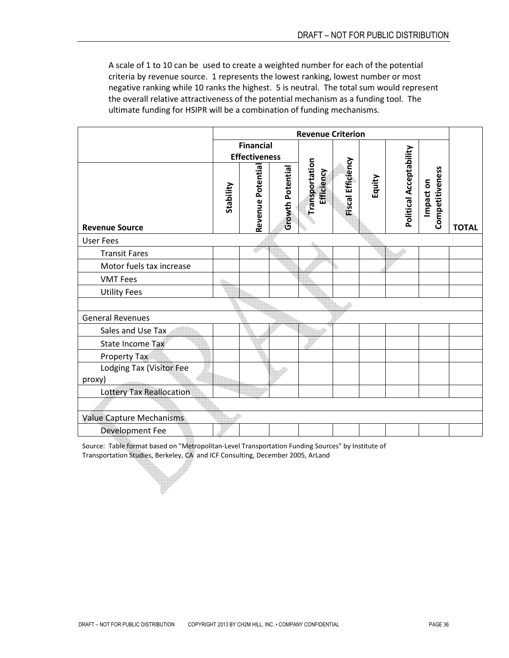A scale of 1 to 10 can be used to create a weighted number for each of the potential criteria by revenue source. 1 represents the lowest ranking, lowest number or most negative ranking while 10 ranks the highest. 5 is neutral. The total sum would represent the overall relative attractiveness of the potential mechanism as a funding tool. The ultimate funding for HSIPR will be a combination of funding mechanisms.

|                                 | <b>Revenue Criterion</b> |                                          |                         |                              |                   |        |                         |                              |              |
|---------------------------------|--------------------------|------------------------------------------|-------------------------|------------------------------|-------------------|--------|-------------------------|------------------------------|--------------|
|                                 |                          | <b>Financial</b><br><b>Effectiveness</b> |                         |                              |                   |        |                         |                              |              |
| <b>Revenue Source</b>           | Stability                | Revenue Potential                        | <b>Growth Potential</b> | Transportation<br>Efficiency | Fiscal Efficiency | Equity | Political Acceptability | Competitiveness<br>Impact on | <b>TOTAL</b> |
| <b>User Fees</b>                |                          |                                          |                         |                              |                   |        |                         |                              |              |
| <b>Transit Fares</b>            |                          |                                          |                         |                              |                   |        |                         |                              |              |
| Motor fuels tax increase        |                          |                                          |                         |                              |                   |        |                         |                              |              |
| <b>VMT Fees</b>                 |                          |                                          |                         |                              |                   |        |                         |                              |              |
| <b>Utility Fees</b>             |                          |                                          |                         |                              |                   |        |                         |                              |              |
|                                 |                          |                                          |                         |                              |                   |        |                         |                              |              |
| <b>General Revenues</b>         |                          |                                          |                         |                              |                   |        |                         |                              |              |
| Sales and Use Tax               |                          |                                          |                         |                              |                   |        |                         |                              |              |
| <b>State Income Tax</b>         |                          |                                          |                         |                              |                   |        |                         |                              |              |
| <b>Property Tax</b>             |                          |                                          |                         |                              |                   |        |                         |                              |              |
| Lodging Tax (Visitor Fee        |                          |                                          |                         |                              |                   |        |                         |                              |              |
| proxy)                          |                          |                                          |                         |                              |                   |        |                         |                              |              |
| <b>Lottery Tax Reallocation</b> |                          |                                          |                         |                              |                   |        |                         |                              |              |
|                                 |                          |                                          |                         |                              |                   |        |                         |                              |              |
| <b>Value Capture Mechanisms</b> |                          |                                          |                         |                              |                   |        |                         |                              |              |
| Development Fee                 |                          |                                          |                         |                              |                   |        |                         |                              |              |

Source: Table format based on "Metropolitan-Level Transportation Funding Sources" by Institute of Transportation Studies, Berkeley, CA and ICF Consulting, December 2005, ArLand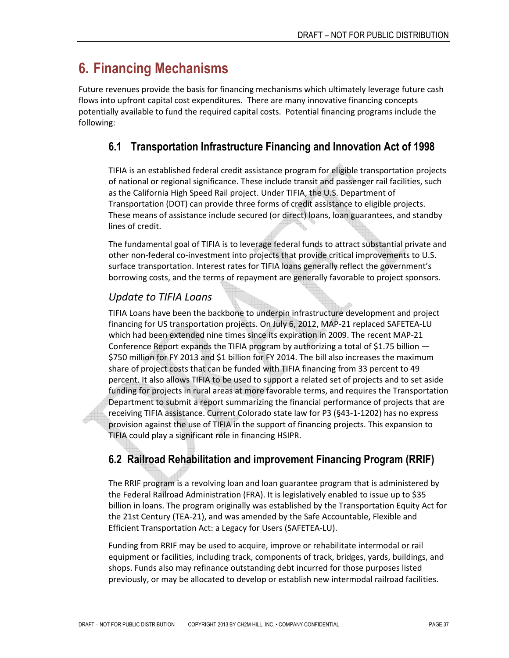# **6. Financing Mechanisms**

Future revenues provide the basis for financing mechanisms which ultimately leverage future cash flows into upfront capital cost expenditures. There are many innovative financing concepts potentially available to fund the required capital costs. Potential financing programs include the following:

# **6.1 Transportation Infrastructure Financing and Innovation Act of 1998**

TIFIA is an established federal credit assistance program for eligible transportation projects of national or regional significance. These include transit and passenger rail facilities, such as the California High Speed Rail project. Under TIFIA, the U.S. Department of Transportation (DOT) can provide three forms of credit assistance to eligible projects. These means of assistance include secured (or direct) loans, loan guarantees, and standby lines of credit.

The fundamental goal of TIFIA is to leverage federal funds to attract substantial private and other non-federal co-investment into projects that provide critical improvements to U.S. surface transportation. Interest rates for TIFIA loans generally reflect the government's borrowing costs, and the terms of repayment are generally favorable to project sponsors.

### *Update to TIFIA Loans*

TIFIA Loans have been the backbone to underpin infrastructure development and project financing for US transportation projects. On July 6, 2012, MAP-21 replaced SAFETEA-LU which had been extended nine times since its expiration in 2009. The recent MAP-21 Conference Report expands the TIFIA program by authorizing a total of \$1.75 billion — \$750 million for FY 2013 and \$1 billion for FY 2014. The bill also increases the maximum share of project costs that can be funded with TIFIA financing from 33 percent to 49 percent. It also allows TIFIA to be used to support a related set of projects and to set aside funding for projects in rural areas at more favorable terms, and requires the Transportation Department to submit a report summarizing the financial performance of projects that are receiving TIFIA assistance. Current Colorado state law for P3 (§43-1-1202) has no express provision against the use of TIFIA in the support of financing projects. This expansion to TIFIA could play a significant role in financing HSIPR.

# **6.2 Railroad Rehabilitation and improvement Financing Program (RRIF)**

The RRIF program is a revolving loan and loan guarantee program that is administered by the Federal Railroad Administration (FRA). It is legislatively enabled to issue up to \$35 billion in loans. The program originally was established by the Transportation Equity Act for the 21st Century (TEA-21), and was amended by the Safe Accountable, Flexible and Efficient Transportation Act: a Legacy for Users (SAFETEA-LU).

Funding from RRIF may be used to acquire, improve or rehabilitate intermodal or rail equipment or facilities, including track, components of track, bridges, yards, buildings, and shops. Funds also may refinance outstanding debt incurred for those purposes listed previously, or may be allocated to develop or establish new intermodal railroad facilities.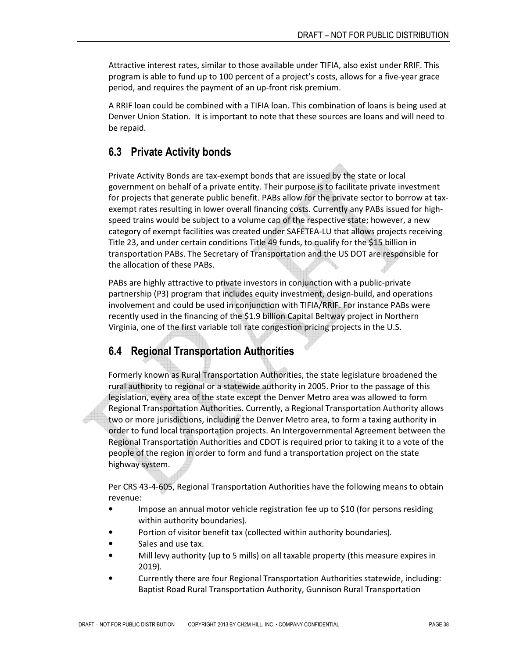Attractive interest rates, similar to those available under TIFIA, also exist under RRIF. This program is able to fund up to 100 percent of a project's costs, allows for a five-year grace period, and requires the payment of an up-front risk premium.

A RRIF loan could be combined with a TIFIA loan. This combination of loans is being used at Denver Union Station. It is important to note that these sources are loans and will need to be repaid.

## **6.3 Private Activity bonds**

Private Activity Bonds are tax-exempt bonds that are issued by the state or local government on behalf of a private entity. Their purpose is to facilitate private investment for projects that generate public benefit. PABs allow for the private sector to borrow at taxexempt rates resulting in lower overall financing costs. Currently any PABs issued for highspeed trains would be subject to a volume cap of the respective state; however, a new category of exempt facilities was created under SAFETEA-LU that allows projects receiving Title 23, and under certain conditions Title 49 funds, to qualify for the \$15 billion in transportation PABs. The Secretary of Transportation and the US DOT are responsible for the allocation of these PABs.

PABs are highly attractive to private investors in conjunction with a public-private partnership (P3) program that includes equity investment, design-build, and operations involvement and could be used in conjunction with TIFIA/RRIF. For instance PABs were recently used in the financing of the \$1.9 billion Capital Beltway project in Northern Virginia, one of the first variable toll rate congestion pricing projects in the U.S.

# **6.4 Regional Transportation Authorities**

Formerly known as Rural Transportation Authorities, the state legislature broadened the rural authority to regional or a statewide authority in 2005. Prior to the passage of this legislation, every area of the state except the Denver Metro area was allowed to form Regional Transportation Authorities. Currently, a Regional Transportation Authority allows two or more jurisdictions, including the Denver Metro area, to form a taxing authority in order to fund local transportation projects. An Intergovernmental Agreement between the Regional Transportation Authorities and CDOT is required prior to taking it to a vote of the people of the region in order to form and fund a transportation project on the state highway system.

Per CRS 43-4-605, Regional Transportation Authorities have the following means to obtain revenue:

- Impose an annual motor vehicle registration fee up to \$10 (for persons residing within authority boundaries)*.*
- Portion of visitor benefit tax (collected within authority boundaries)*.*
- Sales and use tax.
- Mill levy authority (up to 5 mills) on all taxable property (this measure expires in 2019)*.*
- Currently there are four Regional Transportation Authorities statewide, including: Baptist Road Rural Transportation Authority, Gunnison Rural Transportation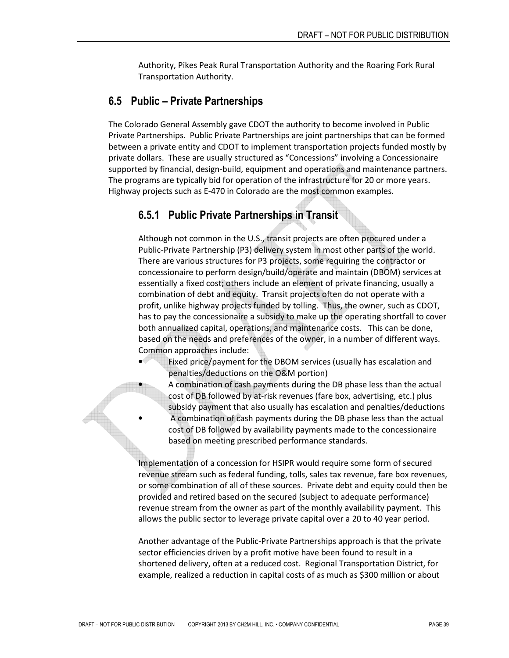Authority, Pikes Peak Rural Transportation Authority and the Roaring Fork Rural Transportation Authority.

#### **6.5 Public – Private Partnerships**

The Colorado General Assembly gave CDOT the authority to become involved in Public Private Partnerships. Public Private Partnerships are joint partnerships that can be formed between a private entity and CDOT to implement transportation projects funded mostly by private dollars. These are usually structured as "Concessions" involving a Concessionaire supported by financial, design-build, equipment and operations and maintenance partners. The programs are typically bid for operation of the infrastructure for 20 or more years. Highway projects such as E-470 in Colorado are the most common examples.

### **6.5.1 Public Private Partnerships in Transit**

Although not common in the U.S., transit projects are often procured under a Public-Private Partnership (P3) delivery system in most other parts of the world. There are various structures for P3 projects, some requiring the contractor or concessionaire to perform design/build/operate and maintain (DBOM) services at essentially a fixed cost; others include an element of private financing, usually a combination of debt and equity. Transit projects often do not operate with a profit, unlike highway projects funded by tolling. Thus, the owner, such as CDOT, has to pay the concessionaire a subsidy to make up the operating shortfall to cover both annualized capital, operations, and maintenance costs. This can be done, based on the needs and preferences of the owner, in a number of different ways. Common approaches include:

- Fixed price/payment for the DBOM services (usually has escalation and penalties/deductions on the O&M portion)
	- A combination of cash payments during the DB phase less than the actual cost of DB followed by at-risk revenues (fare box, advertising, etc.) plus subsidy payment that also usually has escalation and penalties/deductions • A combination of cash payments during the DB phase less than the actual cost of DB followed by availability payments made to the concessionaire based on meeting prescribed performance standards.

Implementation of a concession for HSIPR would require some form of secured revenue stream such as federal funding, tolls, sales tax revenue, fare box revenues, or some combination of all of these sources. Private debt and equity could then be provided and retired based on the secured (subject to adequate performance) revenue stream from the owner as part of the monthly availability payment. This allows the public sector to leverage private capital over a 20 to 40 year period.

Another advantage of the Public-Private Partnerships approach is that the private sector efficiencies driven by a profit motive have been found to result in a shortened delivery, often at a reduced cost. Regional Transportation District, for example, realized a reduction in capital costs of as much as \$300 million or about